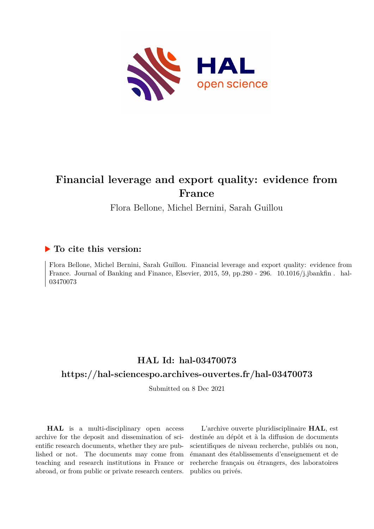

# **Financial leverage and export quality: evidence from France**

Flora Bellone, Michel Bernini, Sarah Guillou

# **To cite this version:**

Flora Bellone, Michel Bernini, Sarah Guillou. Financial leverage and export quality: evidence from France. Journal of Banking and Finance, Elsevier, 2015, 59, pp.280 - 296. 10.1016/j.jbankfin. hal-03470073ff

# **HAL Id: hal-03470073**

# **<https://hal-sciencespo.archives-ouvertes.fr/hal-03470073>**

Submitted on 8 Dec 2021

**HAL** is a multi-disciplinary open access archive for the deposit and dissemination of scientific research documents, whether they are published or not. The documents may come from teaching and research institutions in France or abroad, or from public or private research centers.

L'archive ouverte pluridisciplinaire **HAL**, est destinée au dépôt et à la diffusion de documents scientifiques de niveau recherche, publiés ou non, émanant des établissements d'enseignement et de recherche français ou étrangers, des laboratoires publics ou privés.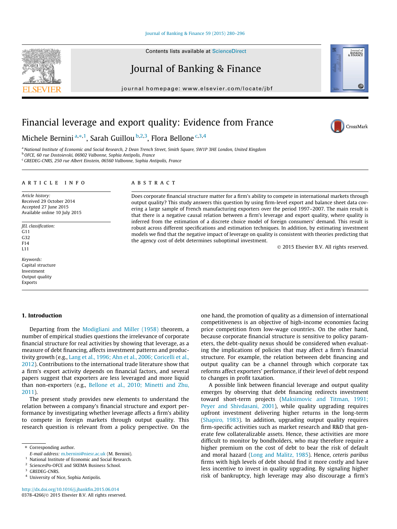Contents lists available at [ScienceDirect](http://www.sciencedirect.com/science/journal/03784266)

# Journal of Banking & Finance

journal homepage: [www.elsevier.com/locate/jbf](http://www.elsevier.com/locate/jbf)

# Financial leverage and export quality: Evidence from France

Michele Bernini<sup>a,\*,1</sup>, Sarah Guillou <sup>b,2,3</sup>, Flora Bellone <sup>c,3,4</sup>

a National Institute of Economic and Social Research, 2 Dean Trench Street, Smith Square, SW1P 3HE London, United Kingdom

<sup>b</sup> OFCE, 60 rue Dostoievski, 06902 Valbonne, Sophia Antipolis, France

 $c$ GREDEG-CNRS, 250 rue Albert Einstein, 06560 Valbonne, Sophia Antipolis, France

# article info

Article history: Received 29 October 2014 Accepted 27 June 2015 Available online 10 July 2015

JEL classification: G11 G32 F14 L11

Keywords: Capital structure Investment Output quality Exports

# ABSTRACT

Does corporate financial structure matter for a firm's ability to compete in international markets through output quality? This study answers this question by using firm-level export and balance sheet data covering a large sample of French manufacturing exporters over the period 1997–2007. The main result is that there is a negative causal relation between a firm's leverage and export quality, where quality is inferred from the estimation of a discrete choice model of foreign consumers' demand. This result is robust across different specifications and estimation techniques. In addition, by estimating investment models we find that the negative impact of leverage on quality is consistent with theories predicting that the agency cost of debt determines suboptimal investment.

- 2015 Elsevier B.V. All rights reserved.

#### 1. Introduction

Departing from the Modigliani and Miller (1958) theorem, a number of empirical studies questions the irrelevance of corporate financial structure for real activities by showing that leverage, as a measure of debt financing, affects investment patterns and productivity growth (e.g., Lang et al., 1996; Ahn et al., 2006; Coricelli et al., 2012). Contributions to the international trade literature show that a firm's export activity depends on financial factors, and several papers suggest that exporters are less leveraged and more liquid than non-exporters (e.g., Bellone et al., 2010; Minetti and Zhu, 2011).

The present study provides new elements to understand the relation between a company's financial structure and export performance by investigating whether leverage affects a firm's ability to compete in foreign markets through output quality. This research question is relevant from a policy perspective. On the

<sup>3</sup> GREDEG-CNRS.

one hand, the promotion of quality as a dimension of international competitiveness is an objective of high-income economies facing price competition from low-wage countries. On the other hand, because corporate financial structure is sensitive to policy parameters, the debt-quality nexus should be considered when evaluating the implications of policies that may affect a firm's financial structure. For example, the relation between debt financing and output quality can be a channel through which corporate tax reforms affect exporters' performance, if their level of debt respond to changes in profit taxation.

A possible link between financial leverage and output quality emerges by observing that debt financing redirects investment toward short-term projects (Maksimovic and Titman, 1991; Peyer and Shivdasani, 2001), while quality upgrading requires upfront investment delivering higher returns in the long-term (Shapiro, 1983). In addition, upgrading output quality requires firm-specific activities such as market research and R&D that generate few collateralizable assets. Hence, these activities are more difficult to monitor by bondholders, who may therefore require a higher premium on the cost of debt to bear the risk of default and moral hazard (Long and Malitz, 1985). Hence, ceteris paribus firms with high levels of debt should find it more costly and have less incentive to invest in quality upgrading. By signaling higher risk of bankruptcy, high leverage may also discourage a firm's





Journal of<br>BANKING<br>& FINANCE 60

<sup>⇑</sup> Corresponding author.

E-mail address: [m.bernini@niesr.ac.uk](mailto:m.bernini@niesr.ac.uk) (M. Bernini).

 $<sup>1</sup>$  National Institute of Economic and Social Research.</sup>

<sup>2</sup> SciencesPo-OFCE and SKEMA Business School.

<sup>4</sup> University of Nice, Sophia Antipolis.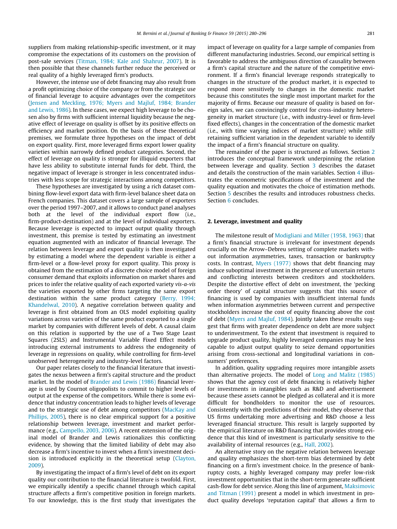suppliers from making relationship-specific investment, or it may compromise the expectations of its customers on the provision of post-sale services (Titman, 1984; Kale and Shahrur, 2007). It is then possible that these channels further reduce the perceived or real quality of a highly leveraged firm's products.

However, the intense use of debt financing may also result from a profit optimizing choice of the company or from the strategic use of financial leverage to acquire advantages over the competitors (Jensen and Meckling, 1976; Myers and Majluf, 1984; Brander and Lewis, 1986). In these cases, we expect high leverage to be chosen also by firms with sufficient internal liquidity because the negative effect of leverage on quality is offset by its positive effects on efficiency and market position. On the basis of these theoretical premises, we formulate three hypotheses on the impact of debt on export quality. First, more leveraged firms export lower quality varieties within narrowly defined product categories. Second, the effect of leverage on quality is stronger for illiquid exporters that have less ability to substitute internal funds for debt. Third, the negative impact of leverage is stronger in less concentrated industries with less scope for strategic interactions among competitors.

These hypotheses are investigated by using a rich dataset combining flow-level export data with firm-level balance sheet data on French companies. This dataset covers a large sample of exporters over the period 1997–2007, and it allows to conduct panel analyses both at the level of the individual export flow (i.e., firm-product-destination) and at the level of individual exporters. Because leverage is expected to impact output quality through investment, this premise is tested by estimating an investment equation augmented with an indicator of financial leverage. The relation between leverage and export quality is then investigated by estimating a model where the dependent variable is either a firm-level or a flow-level proxy for export quality. This proxy is obtained from the estimation of a discrete choice model of foreign consumer demand that exploits information on market shares and prices to infer the relative quality of each exported variety vis-a-vis the varieties exported by other firms targeting the same export destination within the same product category (Berry, 1994; Khandelwal, 2010). A negative correlation between quality and leverage is first obtained from an OLS model exploiting quality variations across varieties of the same product exported to a single market by companies with different levels of debt. A causal claim on this relation is supported by the use of a Two Stage Least Squares (2SLS) and Instrumental Variable Fixed Effect models introducing external instruments to address the endogeneity of leverage in regressions on quality, while controlling for firm-level unobserved heterogeneity and industry-level factors.

Our paper relates closely to the financial literature that investigates the nexus between a firm's capital structure and the product market. In the model of Brander and Lewis (1986) financial leverage is used by Cournot oligopolists to commit to higher levels of output at the expense of the competitors. While there is some evidence that industry concentration leads to higher levels of leverage and to the strategic use of debt among competitors (MacKay and Phillips, 2005), there is no clear empirical support for a positive relationship between leverage, investment and market performance (e.g., Campello, 2003, 2006). A recent extension of the original model of Brander and Lewis rationalizes this conflicting evidence, by showing that the limited liability of debt may also decrease a firm's incentive to invest when a firm's investment decision is introduced explicitly in the theoretical setup (Clayton, 2009).

By investigating the impact of a firm's level of debt on its export quality our contribution to the financial literature is twofold. First, we empirically identify a specific channel through which capital structure affects a firm's competitive position in foreign markets. To our knowledge, this is the first study that investigates the

impact of leverage on quality for a large sample of companies from different manufacturing industries. Second, our empirical setting is favorable to address the ambiguous direction of causality between a firm's capital structure and the nature of the competitive environment. If a firm's financial leverage responds strategically to changes in the structure of the product market, it is expected to respond more sensitively to changes in the domestic market because this constitutes the single most important market for the majority of firms. Because our measure of quality is based on foreign sales, we can convincingly control for cross-industry heterogeneity in market structure (i.e., with industry-level or firm-level fixed effects), changes in the concentration of the domestic market (i.e., with time varying indices of market structure) while still retaining sufficient variation in the dependent variable to identify the impact of a firm's financial structure on quality.

The remainder of the paper is structured as follows. Section 2 introduces the conceptual framework underpinning the relation between leverage and quality. Section 3 describes the dataset and details the construction of the main variables. Section 4 illustrates the econometric specifications of the investment and the quality equation and motivates the choice of estimation methods. Section 5 describes the results and introduces robustness checks. Section 6 concludes.

#### 2. Leverage, investment and quality

The milestone result of Modigliani and Miller (1958, 1963) that a firm's financial structure is irrelevant for investment depends crucially on the Arrow–Debreu setting of complete markets without information asymmetries, taxes, transaction or bankruptcy costs. In contrast, Myers (1977) shows that debt financing may induce suboptimal investment in the presence of uncertain returns and conflicting interests between creditors and stockholders. Despite the distortive effect of debt on investment, the 'pecking order theory' of capital structure suggests that this source of financing is used by companies with insufficient internal funds when information asymmetries between current and perspective stockholders increase the cost of equity financing above the cost of debt (Myers and Majluf, 1984). Jointly taken these results suggest that firms with greater dependence on debt are more subject to underinvestment. To the extent that investment is required to upgrade product quality, highly leveraged companies may be less capable to adjust output quality to seize demand opportunities arising from cross-sectional and longitudinal variations in consumers' preferences.

In addition, quality upgrading requires more intangible assets than alternative projects. The model of Long and Malitz (1985) shows that the agency cost of debt financing is relatively higher for investments in intangibles such as R&D and advertisement because these assets cannot be pledged as collateral and it is more difficult for bondholders to monitor the use of resources. Consistently with the predictions of their model, they observe that US firms undertaking more advertising and R&D choose a less leveraged financial structure. This result is largely supported by the empirical literature on R&D financing that provides strong evidence that this kind of investment is particularly sensitive to the availability of internal resources (e.g., Hall, 2002).

An alternative story on the negative relation between leverage and quality emphasizes the short-term bias determined by debt financing on a firm's investment choice. In the presence of bankruptcy costs, a highly leveraged company may prefer low-risk investment opportunities that in the short-term generate sufficient cash-flow for debt service. Along this line of argument, Maksimovic and Titman (1991) present a model in which investment in product quality develops 'reputation capital' that allows a firm to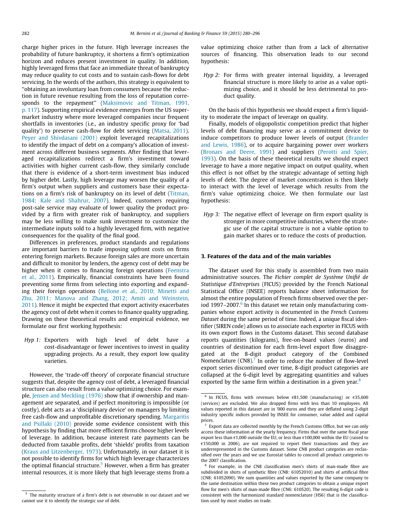charge higher prices in the future. High leverage increases the probability of future bankruptcy, it shortens a firm's optimization horizon and reduces present investment in quality. In addition, highly leveraged firms that face an immediate threat of bankruptcy may reduce quality to cut costs and to sustain cash-flows for debt servicing. In the words of the authors, this strategy is equivalent to ''obtaining an involuntary loan from consumers because the reduction in future revenue resulting from the loss of reputation corresponds to the repayment'' (Maksimovic and Titman, 1991, p. 117). Supporting empirical evidence emerges from the US supermarket industry where more leveraged companies incur frequent shortfalls in inventories (i.e., an industry specific proxy for 'bad quality') to preserve cash-flow for debt servicing (Matsa, 2011). Peyer and Shivdasani (2001) exploit leveraged recapitalizations to identify the impact of debt on a company's allocation of investment across different business segments. After finding that leveraged recapitalizations redirect a firm's investment toward activities with higher current cash-flow, they similarly conclude that there is evidence of a short-term investment bias induced by higher debt. Lastly, high leverage may worsen the quality of a firm's output when suppliers and customers base their expectations on a firm's risk of bankruptcy on its level of debt (Titman, 1984; Kale and Shahrur, 2007). Indeed, customers requiring post-sale service may evaluate of lower quality the product provided by a firm with greater risk of bankruptcy, and suppliers may be less willing to make sunk investment to customize the intermediate inputs sold to a highly leveraged firm, with negative consequences for the quality of the final good.

Differences in preferences, product standards and regulations are important barriers to trade imposing upfront costs on firms entering foreign markets. Because foreign sales are more uncertain and difficult to monitor by lenders, the agency cost of debt may be higher when it comes to financing foreign operations (Feenstra et al., 2011). Empirically, financial constraints have been found preventing some firms from selecting into exporting and expanding their foreign operations (Bellone et al., 2010; Minetti and Zhu, 2011; Manova and Zhang, 2012; Amiti and Weinstein, 2011). Hence it might be expected that export activity exacerbates the agency cost of debt when it comes to finance quality upgrading. Drawing on these theoretical results and empirical evidence, we formulate our first working hypothesis:

Hyp 1: Exporters with high level of debt have a cost-disadvantage or fewer incentives to invest in quality upgrading projects. As a result, they export low quality varieties.

However, the 'trade-off theory' of corporate financial structure suggests that, despite the agency cost of debt, a leveraged financial structure can also result from a value optimizing choice. For example, Jensen and Meckling (1976) show that if ownership and management are separated, and if perfect monitoring is impossible (or costly), debt acts as a 'disciplinary device' on managers by limiting free cash-flow and unprofitable discretionary spending. Margaritis and Psillaki (2010) provide some evidence consistent with this hypothesis by finding that more efficient firms choose higher levels of leverage. In addition, because interest rate payments can be deducted from taxable profits, debt 'shields' profits from taxation (Kraus and Litzenberger, 1973). Unfortunately, in our dataset it is not possible to identify firms for which high leverage characterizes the optimal financial structure. $5$  However, when a firm has greater internal resources, it is more likely that high leverage stems from a value optimizing choice rather than from a lack of alternative sources of financing. This observation leads to our second hypothesis:

Hyp 2: For firms with greater internal liquidity, a leveraged financial structure is more likely to arise as a value optimizing choice, and it should be less detrimental to product quality.

On the basis of this hypothesis we should expect a firm's liquidity to moderate the impact of leverage on quality.

Finally, models of oligopolistic competition predict that higher levels of debt financing may serve as a commitment device to induce competitors to produce lower levels of output (Brander and Lewis, 1986), or to acquire bargaining power over workers (Bronars and Deere, 1991) and suppliers (Perotti and Spier, 1993). On the basis of these theoretical results we should expect leverage to have a more negative impact on output quality, when this effect is not offset by the strategic advantage of setting high levels of debt. The degree of market concentration is then likely to interact with the level of leverage which results from the firm's value optimizing choice. We then formulate our last hypothesis:

Hyp 3: The negative effect of leverage on firm export quality is stronger in more competitive industries, where the strategic use of the capital structure is not a viable option to gain market shares or to reduce the costs of production.

# 3. Features of the data and of the main variables

The dataset used for this study is assembled from two main administrative sources. The Fichier complet de Système Unifié de Statistique d'Entreprises (FICUS) provided by the French National Statistical Office (INSEE) reports balance sheet information for almost the entire population of French firms observed over the period 1997–2007. $\frac{6}{5}$  In this dataset we retain only manufacturing companies whose export activity is documented in the French Customs Dataset during the same period of time. Indeed, a unique fiscal identifier (SIREN code) allows us to associate each exporter in FICUS with its own export flows in the Customs dataset. This second database reports quantities (kilograms), free-on-board values (euros) and countries of destination for each firm-level export flow disaggregated at the 8-digit product category of the Combined Nomenclature  $(CN8)^7$  In order to reduce the number of flow-level export series discontinued over time, 8-digit product categories are collapsed at the 6-digit level by aggregating quantities and values exported by the same firm within a destination in a given year. $8$ 

<sup>5</sup> The maturity structure of a firm's debt is not observable in our dataset and we cannot use it to identify the strategic use of debt.

<sup>&</sup>lt;sup>6</sup> In FICUS, firms with revenues below  $681,500$  (manufacturing) or  $635,600$ (services) are excluded. We also dropped firms with less than 10 employees. All values reported in this dataset are in '000 euros and they are deflated using 2-digit industry specific indices provided by INSEE for consumer, value added and capital prices.

Export data are collected monthly by the French Customs Office, but we can only access these information at the yearly frequency. Firms that over the same fiscal year export less than  $\epsilon$ 1,000 outside the EU, or less than  $\epsilon$ 100,000 within the EU (raised to  $€150,000$  in 2006), are not required to report their transactions and they are underrepresented in the Customs dataset. Some CN8 product categories are reclassified over the years and we use Eurostat tables to concord all product categories to the 2007 classification.

<sup>&</sup>lt;sup>8</sup> For example, in the CN8 classification men's shirts of man-made fibre are subdivided in shirts of synthetic fibre (CN8: 61052010) and shirts of artificial fibre (CN8: 61052090). We sum quantities and values exported by the same company to the same destination within these two product categories to obtain a unique export flow for men's shirts of man-made fibre (CN6: 610520). The resulting 6-digit code is consistent with the harmonized standard nomenclature (HS6) that is the classification used by most studies on trade.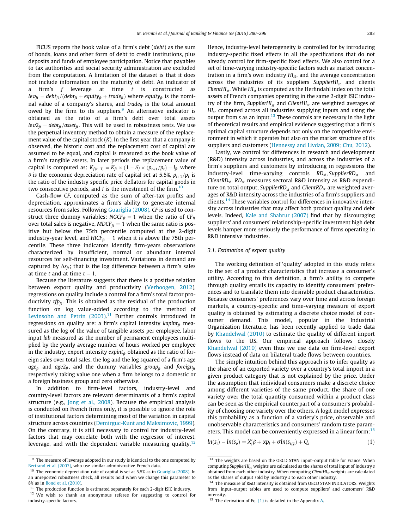FICUS reports the book value of a firm's debt (debt) as the sum of bonds, loans and other form of debt to credit institutions, plus deposits and funds of employee participation. Notice that payables to tax authorities and social security administration are excluded from the computation. A limitation of the dataset is that it does not include information on the maturity of debt. An indicator of a firm's  $f$  leverage at time  $t$  is constructed as  $\frac{d}{dt} = \frac{debt_{ft}}{debt_{ft}} + \frac{equity_{ft}}{dt} + \frac{trade_{ft}}{dt}$  where equity<sub>ft</sub> is the nominal value of a company's shares, and trade $_f$  is the total amount owed by the firm to its suppliers.<sup>9</sup> An alternative indicator is obtained as the ratio of a firm's debt over total assets  $lev2<sub>f</sub> = debt<sub>f</sub>/asset<sub>f</sub>$ . This will be used in robustness tests. We use the perpetual inventory method to obtain a measure of the replacement value of the capital stock  $(K)$ . In the first year that a company is observed, the historic cost and the replacement cost of capital are assumed to be equal, and capital is measured as the book value of a firm's tangible assets. In later periods the replacement value of capital is computed as:  $K_{f(t+1)} = K_{ft} \times (1-\delta) \times (p_{t+1}/p_t) + I_{ft}$  where  $\delta$  is the economic depreciation rate of capital set at 5.5%,  $p_{t+1}/p_t$  is the ratio of the industry specific price deflators for capital goods in two consecutive periods, and I is the investment of the firm.<sup>10</sup>

Cash-flow CF, computed as the sum of after-tax profits and depreciation, approximates a firm's ability to generate internal resources from sales. Following Guariglia (2008), CF is used to construct three dummy variables:  $NGCF_{ft} = 1$  when the ratio of  $CF_{ft}$ over total sales is negative,  $MDCF<sub>ft</sub> = 1$  when the same ratio is positive but below the 75th percentile computed at the 2-digit industry-year level, and HICF $_f$  = 1 when it is above the 75th percentile. These three indicators identify firm-years observations characterized by insufficient, normal or abundant internal resources for self-financing investment. Variations in demand are captured by  $\Delta s_{ft}$ ; that is the log difference between a firm's sales at time  $t$  and at time  $t - 1$ .

Because the literature suggests that there is a positive relation between export quality and productivity (Verhoogen, 2012), regressions on quality include a control for a firm's total factor productivity tfp<sub>ft</sub>. This is obtained as the residual of the production function on log value-added according to the method of Levinsohn and Petrin  $(2003)^{11}$  Further controls introduced in regressions on quality are: a firm's capital intensity kapint $<sub>f</sub>$  mea-</sub> sured as the log of the value of tangible assets per employee, labor input lab measured as the number of permanent employees multiplied by the yearly average number of hours worked per employee in the industry, export intensity expint $_{\text{ft}}$  obtained as the ratio of foreign sales over total sales, the log and the log squared of a firm's age age<sub>ft</sub> and age $2<sub>ft</sub>$ , and the dummy variables group<sub>ft</sub> and foreign<sub>ft</sub> respectively taking value one when a firm belongs to a domestic or a foreign business group and zero otherwise.

In addition to firm-level factors, industry-level and country-level factors are relevant determinants of a firm's capital structure (e.g., Jong et al., 2008). Because the empirical analysis is conducted on French firms only, it is possible to ignore the role of institutional factors determining most of the variation in capital structure across countries (Demirguc-Kunt and Maksimovic, 1999). On the contrary, it is still necessary to control for industry-level factors that may correlate both with the regressor of interest, leverage, and with the dependent variable measuring quality.<sup>12</sup>

Hence, industry-level heterogeneity is controlled for by introducing industry-specific fixed effects in all the specifications that do not already control for firm-specific fixed effects. We also control for a set of time-varying industry-specific factors such as market concentration in a firm's own industry  $HI<sub>st</sub>$ , and the average concentration across the industries of its suppliers SupplierHI<sub>st</sub> and clients ClientHI<sub>st</sub>. While HI<sub>st</sub> is computed as the Herfindahl index on the total assets of French companies operating in the same 2-digit ISIC industry of the firm, SupplierHI<sub>st</sub> and ClientHI<sub>st</sub> are weighted averages of  $H<sub>st</sub>$  computed across all industries supplying inputs and using the output from s as an input.<sup>13</sup> These controls are necessary in the light of theoretical results and empirical evidence suggesting that a firm's optimal capital structure depends not only on the competitive environment in which it operates but also on the market structure of its suppliers and customers (Hennessy and Livdan, 2009; Chu, 2012).

Lastly, we control for differences in research and development (R&D) intensity across industries, and across the industries of a firm's suppliers and customers by introducing in regressions the industry-level time-varying controls  $RD_{st}$ , SupplierRD<sub>st</sub> and ClientRD<sub>st</sub>. RD<sub>st</sub> measures sectoral R&D intensity as R&D expenditure on total output, SupplierRD<sub>st</sub> and ClientRD<sub>st</sub> are weighted averages of R&D intensity across the industries of a firm's suppliers and clients.14 These variables control for differences in innovative intensity across industries that may affect both product quality and debt levels. Indeed, Kale and Shahrur (2007) find that by discouraging suppliers' and consumers' relationship-specific investment high debt levels hamper more seriously the performance of firms operating in R&D intensive industries.

### 3.1. Estimation of export quality

The working definition of 'quality' adopted in this study refers to the set of a product characteristics that increase a consumer's utility. According to this definition, a firm's ability to compete through quality entails its capacity to identify consumers' preferences and to translate them into desirable product characteristics. Because consumers' preferences vary over time and across foreign markets, a country-specific and time-varying measure of export quality is obtained by estimating a discrete choice model of consumer demand. This model, popular in the Industrial Organization literature, has been recently applied to trade data by Khandelwal (2010) to estimate the quality of different import flows to the US. Our empirical approach follows closely Khandelwal (2010) even thus we use data on firm-level export flows instead of data on bilateral trade flows between countries.

The simple intuition behind this approach is to infer quality as the share of an exported variety over a country's total import in a given product category that is not explained by the price. Under the assumption that individual consumers make a discrete choice among different varieties of the same product, the share of one variety over the total quantity consumed within a product class can be seen as the empirical counterpart of a consumer's probability of choosing one variety over the others. A logit model expresses this probability as a function of a variety's price, observable and unobservable characteristics and consumers' random taste parameters. This model can be conveniently expressed in a linear form:<sup>15</sup>

$$
ln(s_i) - ln(s_o) = X'_i \beta + \alpha p_i + \sigma ln(s_{i/g}) + Q_i
$$
\n(1)

 $9$  The measure of leverage adopted in our study is identical to the one computed by Bertrand et al. (2007), who use similar administrative French data.

 $10$  The economic depreciation rate of capital is set at 5.5% as in Guariglia (2008). In an unreported robustness check, all results hold when we change this parameter to 8% as in Bond et al. (2010).

 $11$  The production function is estimated separately for each 2-digit ISIC industry.

<sup>&</sup>lt;sup>12</sup> We wish to thank an anonymous referee for suggesting to control for industry-specific factors.

<sup>&</sup>lt;sup>13</sup> The weights are based on the OECD STAN input-output table for France. When computing SupplierHI<sub>st</sub> weights are calculated as the shares of total input of industry s obtained from each other industry. When computing Client $HI_{st}$  weights are calculated as the shares of output sold by industry s to each other industry.

<sup>&</sup>lt;sup>14</sup> The measure of R&D intensity is obtained from OECD STAN INDICATORS. Weights from input–output tables are used to compute suppliers' and customers' R&D intensity.

<sup>&</sup>lt;sup>15</sup> The derivation of Eq.  $(1)$  is detailed in the Appendix A.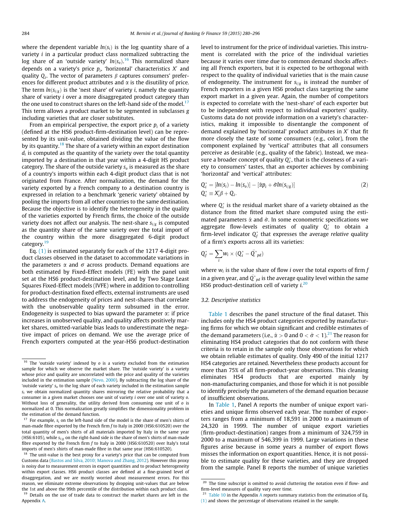where the dependent variable  $ln(s<sub>i</sub>)$  is the log quantity share of a variety i in a particular product class normalized subtracting the log share of an 'outside variety'  $ln(s_o).^{16}$  This normalized share depends on a variety's price  $p_i$ , 'horizontal' characteristics  $X'$  and quality  $Q_i$ . The vector of parameters  $\beta$  captures consumers' preferences for different product attributes and  $\alpha$  is the disutility of price. The term  $ln(s_{i/g})$  is the 'nest share' of variety *i*, namely the quantity share of variety i over a more disaggregated product category than the one used to construct shares on the left-hand side of the model.<sup>17</sup> This term allows a product market to be segmented in subclasses g including varieties that are closer substitutes.

From an empirical perspective, the export price  $p_i$  of a variety (defined at the HS6 product-firm-destination level) can be represented by its unit-value, obtained dividing the value of the flow by its quantity.<sup>18</sup> The share of a variety within an export destination  $d_i$  is computed as the quantity of the variety over the total quantity imported by a destination in that year within a 4-digit HS product category. The share of the outside variety  $s<sub>o</sub>$  is measured as the share of a country's imports within each 4-digit product class that is not originated from France. After normalization, the demand for the variety exported by a French company to a destination country is expressed in relation to a benchmark 'generic variety' obtained by pooling the imports from all other countries to the same destination. Because the objective is to identify the heterogeneity in the quality of the varieties exported by French firms, the choice of the outside variety does not affect our analysis. The nest-share  $s_{i/g}$  is computed as the quantity share of the same variety over the total import of the country within the more disaggregated 6-digit product category.19

Eq. (1) is estimated separately for each of the 1217 4-digit product classes observed in the dataset to accommodate variations in the parameters  $\alpha$  and  $\sigma$  across products. Demand equations are both estimated by Fixed-Effect models (FE) with the panel unit set at the HS6 product-destination level, and by Two Stage Least Squares Fixed-Effect models (IVFE) where in addition to controlling for product-destination fixed effects, external instruments are used to address the endogeneity of prices and nest-shares that correlate with the unobservable quality term subsumed in the error. Endogeneity is suspected to bias upward the parameter  $\alpha$ : if price increases in unobserved quality, and quality affects positively market shares, omitted-variable bias leads to underestimate the negative impact of prices on demand. We use the average price of French exporters computed at the year-HS6 product-destination level to instrument for the price of individual varieties. This instrument is correlated with the price of the individual varieties because it varies over time due to common demand shocks affecting all French exporters, but it is expected to be orthogonal with respect to the quality of individual varieties that is the main cause of endogeneity. The instrument for  $s_{i/g}$  is instead the number of French exporters in a given HS6 product class targeting the same export market in a given year. Again, the number of competitors is expected to correlate with the 'nest-share' of each exporter but to be independent with respect to individual exporters' quality. Customs data do not provide information on a variety's characteristics, making it impossible to disentangle the component of demand explained by 'horizontal' product attributes in  $X'$  that fit more closely the taste of some consumers (e.g., color), from the component explained by 'vertical' attributes that all consumers perceive as desirable (e.g., quality of the fabric). Instead, we measure a broader concept of quality  $Q_i^*$ , that is the closeness of a variety to consumers' tastes, that an exporter achieves by combining 'horizontal' and 'vertical' attributes:

$$
Q_i^* = [ln(s_i) - ln(s_o)] - [\hat{\alpha}p_i + \hat{\sigma}ln(s_{i/g})]
$$
  
\n
$$
Q_i^* \equiv X_i'\beta + Q_i.
$$
\n(2)

where  $Q_i^*$  is the residual market share of a variety obtained as the distance from the fitted market share computed using the estimated parameters  $\hat{\alpha}$  and  $\hat{\sigma}$ . In some econometric specifications we aggregate flow-levels estimates of quality  $Q_i^*$  to obtain a firm-level indicator  $Q_f^*$  that expresses the average relative quality of a firm's exports across all its varieties:

$$
Q_f^* = \sum_i w_i \times (Q_i^* - \bar{Q}_{pd}^*)
$$

where  $w_i$  is the value share of flow *i* over the total exports of firm  $f$ in a given year, and  $\bar{Q}^*{}_{pd}$  is the average quality level within the same HS6 product-destination cell of variety  $i$ <sup>20</sup>

## 3.2. Descriptive statistics

Table 1 describes the panel structure of the final dataset. This includes only the HS4 product categories exported by manufacturing firms for which we obtain significant and credible estimates of the demand parameters (i.e.,  $\hat{\alpha} > 0$  and  $0 < \hat{\sigma} < 1$ ).<sup>21</sup> The reason for eliminating HS4 product categories that do not conform with these criteria is to retain in the sample only those observations for which we obtain reliable estimates of quality. Only 490 of the initial 1217 HS4 categories are retained. Nevertheless these products account for more than 75% of all firm-product-year observations. This cleaning eliminates HS4 products that are exported mainly by non-manufacturing companies, and those for which it is not possible to identify precisely the parameters of the demand equation because of insufficient observations.

In Table 1, Panel A reports the number of unique export varieties and unique firms observed each year. The number of exporters ranges from a minimum of 18,591 in 2000 to a maximum of 24,320 in 1999. The number of unique export varieties (firm-product-destination) ranges from a minimum of 324,759 in 2000 to a maximum of 546,399 in 1999. Large variations in these figures arise because in some years a number of export flows misses the information on export quantities. Hence, it is not possible to estimate quality for these varieties, and they are dropped from the sample. Panel B reports the number of unique varieties

 $16$  The 'outside variety' indexed by  $o$  is a variety excluded from the estimation sample for which we observe the market share. The 'outside variety' is a variety whose price and quality are uncorrelated with the price and quality of the varieties included in the estimation sample (Nevo, 2000). By subtracting the log share of the 'outside variety'  $s_0$  to the log share of each variety included in the estimation sample  $s_i$  we obtain normalized quantity shares mirroring the relative probability that a consumer in a given market chooses one unit of variety i over one unit of variety o. Without loss of generality, the utility derived from consuming one unit of o is normalized at 0. This normalization greatly simplifies the dimensionality problem in the estimation of the demand function.

<sup>&</sup>lt;sup>17</sup> For example,  $s_i$  on the left-hand side of the model is the share of men's shirts of man-made fibre exported by the French firm f to Italy in 2000 (HS6:610520) over the total quantity of men's shirts of all materials imported by Italy in the same year (HS6:6105), while  $s_{i/g}$  on the right-hand side is the share of men's shirts of man-made fibre exported by the French firm  $f$  to Italy in 2000 (HS6:610520) over Italy's total imports of men's shirts of man-made fibre in that same year (HS6:610520).

The unit-value is the best proxy for a variety's price that can be computed from Customs data (Bastos and Silva, 2010; Manova and Zhang, 2012). However this proxy is noisy due to measurement errors in export quantities and to product heterogeneity within export classes. HS6 product classes are defined at a fine-grained level of disaggregation, and we are mostly worried about measurement errors. For this reason, we eliminate extreme observations by dropping unit-values that are below the 1st and above the 99th percentile of the distribution within each product class. <sup>19</sup> Details on the use of trade data to construct the market shares are left in the Appendix A.

<sup>&</sup>lt;sup>20</sup> The time subscript is omitted to avoid cluttering the notation even if flow- and firm-level measures of quality vary over time.

<sup>&</sup>lt;sup>21</sup> Table 10 in the Appendix A reports summary statistics from the estimation of Eq. (1) and shows the percentage of observations retained in the sample.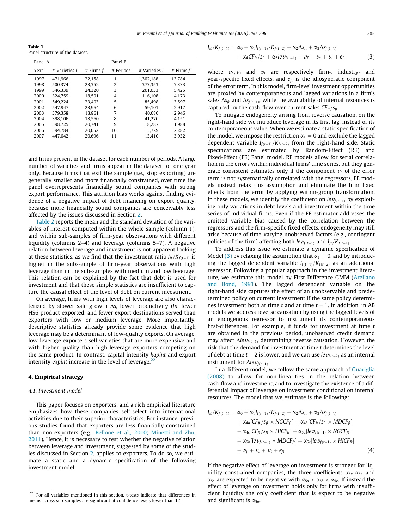Table 1 Panel structure of the dataset.

| Panel A |               |               | Panel B   |               |               |  |  |
|---------|---------------|---------------|-----------|---------------|---------------|--|--|
| Year    | # Varieties i | $#$ Firms $f$ | # Periods | # Varieties i | $#$ Firms $f$ |  |  |
| 1997    | 471.966       | 22.158        | 1         | 1.302.188     | 13.784        |  |  |
| 1998    | 500.374       | 23.352        | 2         | 373.353       | 7.333         |  |  |
| 1999    | 546.339       | 24.320        | 3         | 201.033       | 5.425         |  |  |
| 2000    | 324.759       | 18.591        | 4         | 116.108       | 4.173         |  |  |
| 2001    | 549.224       | 23.403        | 5         | 85.498        | 3.597         |  |  |
| 2002    | 547.947       | 23.964        | 6         | 59.101        | 2.917         |  |  |
| 2003    | 379.358       | 18.861        | 7         | 40.080        | 2,946         |  |  |
| 2004    | 398.106       | 18.560        | 8         | 41.270        | 4.151         |  |  |
| 2005    | 398.725       | 20.741        | 9         | 18.287        | 1.988         |  |  |
| 2006    | 394.784       | 20.052        | 10        | 13.729        | 2.282         |  |  |
| 2007    | 447.042       | 20.696        | 11        | 13.410        | 3.932         |  |  |

and firms present in the dataset for each number of periods. A large number of varieties and firms appear in the dataset for one year only. Because firms that exit the sample (i.e., stop exporting) are generally smaller and more financially constrained, over time the panel overrepresents financially sound companies with strong export performance. This attrition bias works against finding evidence of a negative impact of debt financing on export quality, because more financially sound companies are conceivably less affected by the issues discussed in Section 2.

Table 2 reports the mean and the standard deviation of the variables of interest computed within the whole sample (column 1), and within sub-samples of firm-year observations with different liquidity (columns 2–4) and leverage (columns 5–7). A negative relation between leverage and investment is not apparent looking at these statistics, as we find that the investment ratio  $I_{ft}/K_{f(t-1)}$  is higher in the subs-ample of firm-year observations with high leverage than in the sub-samples with medium and low leverage. This relation can be explained by the fact that debt is used for investment and that these simple statistics are insufficient to capture the causal effect of the level of debt on current investment.

On average, firms with high levels of leverage are also characterized by slower sale growth  $\Delta s$ , lower productivity tfp, fewer HS6 product exported, and fewer export destinations served than exporters with low or medium leverage. More importantly, descriptive statistics already provide some evidence that high leverage may be a determinant of low-quality exports. On average, low-leverage exporters sell varieties that are more expensive and with higher quality than high-leverage exporters competing on the same product. In contrast, capital intensity kapint and export intensity *expint* increase in the level of leverage. $22$ 

### 4. Empirical strategy

#### 4.1. Investment model

This paper focuses on exporters, and a rich empirical literature emphasizes how these companies self-select into international activities due to their superior characteristics. For instance, previous studies found that exporters are less financially constrained than non-exporters (e.g., Bellone et al., 2010; Minetti and Zhu, 2011). Hence, it is necessary to test whether the negative relation between leverage and investment, suggested by some of the studies discussed in Section 2, applies to exporters. To do so, we estimate a static and a dynamic specification of the following investment model:

$$
I_{ft}/K_{f(t-1)} = \alpha_0 + \alpha_1 I_{f(t-1)}/K_{f(t-2)} + \alpha_2 \Delta s_{ft} + \alpha_3 \Delta s_{f(t-1)} + \alpha_4 CF_{ft}/s_{ft} + \alpha_5 le v_{f(t-1)} + v_f + v_s + v_t + e_{ft}
$$
(3)

where  $v_f$ ,  $v_s$  and  $v_t$  are respectively firm-, industry- and year-specific fixed effects, and  $e_f$  is the idiosyncratic component of the error term. In this model, firm-level investment opportunities are proxied by contemporaneous and lagged variations in a firm's sales  $\Delta s_{ft}$  and  $\Delta s_{f(t-1)}$ , while the availability of internal resources is captured by the cash-flow over current sales  $CF_{ft}/S_{ft}$ .

To mitigate endogeneity arising from reverse causation, on the right-hand side we introduce leverage in its first lag, instead of its contemporaneous value. When we estimate a static specification of the model, we impose the restriction  $\alpha_1 = 0$  and exclude the lagged dependent variable  $I_{f(t-1)}/K_{f(t-2)}$  from the right-hand side. Static specifications are estimated by Random-Effect (RE) and Fixed-Effect (FE) Panel model. RE models allow for serial correlation in the errors within individual firms' time series, but they generate consistent estimates only if the component  $v_f$  of the error term is not systematically correlated with the regressors. FE models instead relax this assumption and eliminate the firm fixed effects from the error by applying within-group transformation. In these models, we identify the coefficient on  $lev_{f(t-1)}$  by exploiting only variations in debt levels and investment within the time series of individual firms. Even if the FE estimator addresses the omitted variable bias caused by the correlation between the regressors and the firm-specific fixed effects, endogeneity may still arise because of time-varying unobserved factors (e.g., contingent policies of the firm) affecting both  $lev_{f(t-1)}$  and  $I_{ft}/K_{f(t-1)}$ .

To address this issue we estimate a dynamic specification of Model (3) by relaxing the assumption that  $\alpha_1 = 0$ , and by introducing the lagged dependent variable  $I_{f(t-1)}/K_{f(t-2)}$  as an additional regressor. Following a popular approach in the investment literature, we estimate this model by First-Difference GMM (Arellano and Bond, 1991). The lagged dependent variable on the right-hand side captures the effect of an unobservable and predetermined policy on current investment if the same policy determines investment both at time t and at time  $t - 1$ . In addition, in AB models we address reverse causation by using the lagged levels of an endogenous regressor to instrument its contemporaneous first-differences. For example, if funds for investment at time t are obtained in the previous period, unobserved credit demand may affect  $\Delta le v_{f(t-1)}$  determining reverse causation. However, the risk that the demand for investment at time  $t$  determines the level of debt at time  $t - 2$  is lower, and we can use le $v_{f(t-2)}$  as an internal instrument for  $\Delta le \nu_{f(t-1)}$ .

In a different model, we follow the same approach of Guariglia (2008) to allow for non-linearities in the relation between cash-flow and investment, and to investigate the existence of a differential impact of leverage on investment conditional on internal resources. The model that we estimate is the following:

$$
I_{ft}/K_{f(t-1)} = \alpha_0 + \alpha_1 I_{f(t-1)}/K_{f(t-2)} + \alpha_2 \Delta s_{ft} + \alpha_3 \Delta s_{f(t-1)}
$$
  
+  $\alpha_{4a} [CF_{ft}/s_{ft} \times NGCF_{ft}] + \alpha_{4b} [CF_{ft}/s_{ft} \times MDCF_{ft}]$   
+  $\alpha_{4c} [CF_{ft}/s_{ft} \times HICF_{ft}] + \alpha_{5a} [le \nu_{f(t-1)} \times NGCF_{ft}]$   
+  $\alpha_{5b} [le \nu_{f(t-1)} \times MDCF_{ft}] + \alpha_{5c} [le \nu_{f(t-1)} \times HICF_{ft}]$   
+  $\nu_f + \nu_s + \nu_t + e_{ft}$  (4)

If the negative effect of leverage on investment is stronger for liquidity constrained companies, the three coefficients  $\alpha_{5a}, \alpha_{5b}$  and  $\alpha_{5c}$  are expected to be negative with  $\alpha_{5a} < \alpha_{5b} < \alpha_{5c}$ . If instead the effect of leverage on investment holds only for firms with insufficient liquidity the only coefficient that is expect to be negative and significant is  $\alpha_{5a}$ .

<sup>&</sup>lt;sup>22</sup> For all variables mentioned in this section, t-tests indicate that differences in means across sub-samples are significant at confidence levels lower than 1%.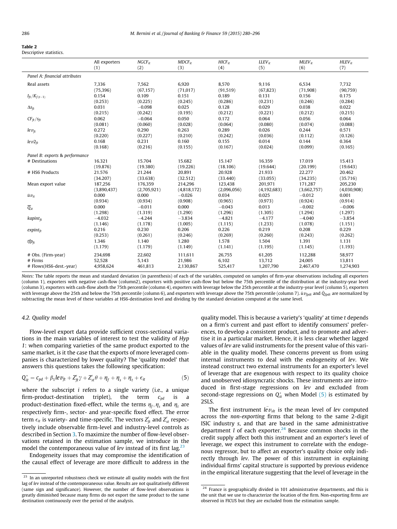Descriptive statistics.

|                                | All exporters | $NGCF_{it}$ | $MDCF_{it}$ | $HICF_{it}$ | $LLEV_{it}$   | $MLEV_{it}$ | $HLEV_{it}$ |
|--------------------------------|---------------|-------------|-------------|-------------|---------------|-------------|-------------|
|                                | (1)           | (2)         | (3)         | (4)         | (5)           | (6)         | (7)         |
| Panel A: financial attributes  |               |             |             |             |               |             |             |
| Real assets                    | 7,336         | 7,562       | 6,920       | 8,570       | 9,116         | 6,534       | 7.732       |
|                                | (75, 396)     | (67, 157)   | (71, 017)   | (91, 519)   | (67, 823)     | (71,908)    | (90,759)    |
| $I_{ft}/K_{f(t-1)}$            | 0.154         | 0.109       | 0.151       | 0.189       | 0.131         | 0.156       | 0.175       |
|                                | (0.253)       | (0.225)     | (0.245)     | (0.286)     | (0.231)       | (0.246)     | (0.284)     |
| $\Delta s_{ft}$                | 0.031         | $-0.098$    | 0.025       | 0.128       | 0.029         | 0.038       | 0.022       |
|                                | (0.215)       | (0.242)     | (0.195)     | (0.212)     | (0.221)       | (0.212)     | (0.215)     |
| $CF_{ft}/S_{ft}$               | 0.062         | $-0.064$    | 0.050       | 0.172       | 0.064         | 0.056       | 0.064       |
|                                | (0.081)       | (0.060)     | (0.028)     | (0.064)     | (0.080)       | (0.074)     | (0.088)     |
| $lev_{ft}$                     | 0.272         | 0.290       | 0.263       | 0.289       | 0.026         | 0.244       | 0.571       |
|                                | (0.220)       | (0.227)     | (0.210)     | (0.242)     | (0.036)       | (0.112)     | (0.126)     |
| $lev2_{ft}$                    | 0.168         | 0.231       | 0.160       | 0.155       | 0.014         | 0.144       | 0.364       |
|                                | (0.168)       | (0.216)     | (0.155)     | (0.167)     | (0.024)       | (0.099)     | (0.165)     |
| Panel B: exports & performance |               |             |             |             |               |             |             |
| # Destinations                 | 16.321        | 15.704      | 15.682      | 15.147      | 16.359        | 17.019      | 15.413      |
|                                | (19.876)      | (19.380)    | (19.226)    | (18.106)    | (19.644)      | (20.199)    | (19.643)    |
| # HS6 Products                 | 21.576        | 21.244      | 20.891      | 20.928      | 21.933        | 22.277      | 20.462      |
|                                | (34.207)      | (33.638)    | (32.512)    | (33.440)    | (33.055)      | (34.235)    | (35.716)    |
| Mean export value              | 187,256       | 176,359     | 214,296     | 123.438     | 201,971       | 171,287     | 205,230     |
|                                | (3,890,437)   | (2,705,921) | (4,818,172) | (2,096,056) | (4, 192, 683) | (3,662,757) | (4,030,908) |
| $\bar{u}v_{it}$                | 0.000         | 0.000       | $-0.026$    | 0.034       | 0.025         | $-0.012$    | 0.001       |
|                                | (0.934)       | (0.934)     | (0.908)     | (0.965)     | (0.973)       | (0.924)     | (0.914)     |
| $\overline{Q}_{it}$            | 0.000         | $-0.011$    | 0.000       | $-0.043$    | 0.013         | $-0.002$    | $-0.006$    |
|                                | (1.298)       | (1.319)     | (1.290)     | (1.296)     | (1.305)       | (1.294)     | (1.297)     |
| kapint <sub>ft</sub>           | $-4.032$      | $-4.244$    | $-3.834$    | $-4.821$    | $-4.177$      | $-4.040$    | $-3.854$    |
|                                | (1.146)       | (1.178)     | (1.005)     | (1.115)     | (1.233)       | (1.078)     | (1.151)     |
| $expint_{ft}$                  | 0.216         | 0.230       | 0.206       | 0.226       | 0.219         | 0.208       | 0.229       |
|                                | (0.253)       | (0.261)     | (0.246)     | (0.269)     | (0.260)       | (0.243)     | (0.262)     |
| $tfp_{ft}$                     | 1.346         | 1.140       | 1.280       | 1.578       | 1.504         | 1.391       | 1.131       |
|                                | (1.179)       | (1.179)     | (1.149)     | (1.141)     | (1.195)       | (1.145)     | (1.193)     |
| # Obs. (Firm-year)             | 234,698       | 22,602      | 111,611     | 26,755      | 61,205        | 112,288     | 58,977      |
| $#$ Firms                      | 52,528        | 5,143       | 21,986      | 6,102       | 13,712        | 24,005      | 13,811      |
| # Flows(HS6-dest.-year)        | 4,958,624     | 461,813     | 2,130,867   | 525,417     | 1,207,790     | 2,467,470   | 1,274,903   |

Notes: The table reports the mean and standard deviation (in parenthesis) of each of the variables, computed on samples of firm-year observations including all exporters (column 1), exporters with negative cash-flow (column2), exporters with positive cash-flow but below the 75th percentile of the distribution at the industry-year level (column 3), exporters with cash-flow aboth the 75th percentile (column 4), exporters with leverage below the 25th percentile at the industry-year level (column 5), exporters with leverage above the 25th and below the 75th percentile (column 6), and exporters with leverage above the 75th percentile (column 7).  $\bar{u} \nu_{\text{phot}}$  and  $\bar{Q}_{\text{p}dt}$  are normalized by subtracting the mean level of these variables at HS6-destination level and dividing by the standard deviation computed at the same level.

# 4.2. Quality model

Flow-level export data provide sufficient cross-sectional variations in the main variables of interest to test the validity of Hyp 1: when comparing varieties of the same product exported to the same market, is it the case that the exports of more leveraged companies is characterized by lower quality? The 'quality model' that answers this questions takes the following specification:

$$
Q_{it}^* = c_{pd} + \beta_1 le v_{ft} + Z_{ft}' \gamma + Z_{st}' \theta + \eta_f + \eta_s + \eta_t + \epsilon_{it}
$$
\n
$$
(5)
$$

where the subscript  $i$  refers to a single variety (i.e., a unique firm-product-destination triplet), the term  $c_{pd}$  is a product-destination fixed-effect, while the terms  $\eta_f$ ,  $\eta_s$  and  $\eta_t$  are respectively firm-, sector- and year-specific fixed effect. The error term  $\epsilon_{it}$  is variety- and time-specific. The vectors  $Z_{ft}'$  and  $Z_{st}'$  respectively include observable firm-level and industry-level controls as described in Section 3. To maximize the number of flow-level observations retained in the estimation sample, we introduce in the model the contemporaneous value of lev instead of its first lag.<sup>23</sup>

Endogeneity issues that may compromise the identification of the causal effect of leverage are more difficult to address in the quality model. This is because a variety's 'quality' at time  $t$  depends on a firm's current and past effort to identify consumers' preferences, to develop a consistent product, and to promote and advertise it in a particular market. Hence, it is less clear whether lagged values of lev are valid instruments for the present value of this variable in the quality model. These concerns prevent us from using internal instruments to deal with the endogeneity of lev. We instead construct two external instruments for an exporter's level of leverage that are exogenous with respect to its quality choice and unobserved idiosyncratic shocks. These instruments are introduced in first-stage regressions on lev and excluded from second-stage regressions on  $Q_{it}^*$  when Model (5) is estimated by 2SLS.

The first instrument  $l \bar{e} v_{\rm s}$  is the mean level of lev computed across the non-exporting firms that belong to the same 2-digit ISIC industry s, and that are based in the same administrative department *l* of each exporter.<sup>24</sup> Because common shocks in the credit supply affect both this instrument and an exporter's level of leverage, we expect this instrument to correlate with the endogenous regressor, but to affect an exporter's quality choice only indirectly through lev. The power of this instrument in explaining individual firms' capital structure is supported by previous evidence in the empirical literature suggesting that the level of leverage in the

 $\frac{23 \text{ In}}{23 \text{ In}}$  an unreported robustness check we estimate all quality models with the first lag of lev instead of the contemporaneous value. Results are not qualitatively different (same sign and significance). However, the number of flow-level observations is greatly diminished because many firms do not export the same product to the same destination continuously over the period of the analysis.

 $24$  France is geographically divided in 101 administrative departments, and this is the unit that we use to characterize the location of the firm. Non-exporting firms are observed in FICUS but they are excluded from the estimation sample.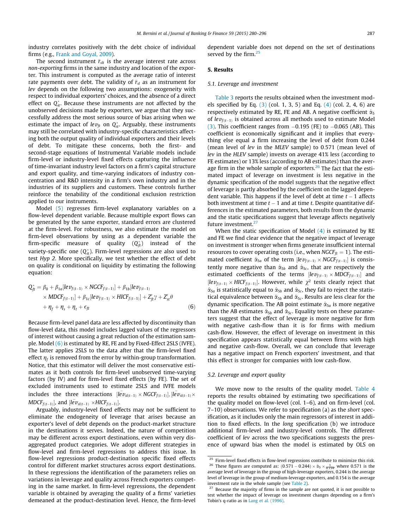industry correlates positively with the debt choice of individual firms (e.g., Frank and Goyal, 2009).

The second instrument  $\bar{r}_{\textit{slt}}$  is the average interest rate across non-exporting firms in the same industry and location of the exporter. This instrument is computed as the average ratio of interest rate payments over debt. The validity of  $\bar{r}_{sl}$  as an instrument for lev depends on the following two assumptions: exogeneity with respect to individual exporters' choices, and the absence of a direct effect on  $Q_{it}^*$ . Because these instruments are not affected by the unobserved decisions made by exporters, we argue that they successfully address the most serious source of bias arising when we estimate the impact of le $v_{ft}$  on  $Q_{it}^*$ . Arguably, these instruments may still be correlated with industry-specific characteristics affecting both the output quality of individual exporters and their levels of debt. To mitigate these concerns, both the first- and second-stage equations of Instrumental Variable models include firm-level or industry-level fixed effects capturing the influence of time-invariant industry level factors on a firm's capital structure and export quality, and time-varying indicators of industry concentration and R&D intensity in a firm's own industry and in the industries of its suppliers and customers. These controls further reinforce the tenability of the conditional exclusion restriction applied to our instruments.

Model (5) regresses firm-level explanatory variables on a flow-level dependent variable. Because multiple export flows can be generated by the same exporter, standard errors are clustered at the firm-level. For robustness, we also estimate the model on firm-level observations by using as a dependent variable the firm-specific measure of quality  $(Q_{ft}^*)$  instead of the variety-specific one  $(Q_{it}^*)$ . Firm-level regressions are also used to test Hyp 2. More specifically, we test whether the effect of debt on quality is conditional on liquidity by estimating the following equation:

$$
Q_{ft}^* = \beta_0 + \beta_{1a}[\text{le}\,v_{f(t-1)} \times \text{NGCF}_{f(t-1)}] + \beta_{1b}[\text{le}\,v_{f(t-1)}]
$$
  
× 
$$
\times \text{MDCF}_{f(t-1)}] + \beta_{1c}[\text{le}\,v_{f(t-1)} \times \text{HICF}_{f(t-1)}] + Z_{ft}'\gamma + Z_{st}'\theta
$$
  
+ 
$$
\eta_f + \eta_s + \eta_t + \epsilon_{ft}
$$
 (6)

Because firm-level panel data are less affected by discontinuity than flow-level data, this model includes lagged values of the regressors of interest without causing a great reduction of the estimation sample. Model (6) is estimated by RE, FE and by Fixed-Effect 2SLS (IVFE). The latter applies 2SLS to the data after that the firm-level fixed effect  $\eta_f$  is removed from the error by within-group transformation. Notice, that this estimator will deliver the most conservative estimates as it both controls for firm-level unobserved time-varying factors (by IV) and for firm-level fixed effects (by FE). The set of excluded instruments used to estimate 2SLS and IVFE models includes the three interactions  $[\bar{lev}_{sl(t-1)} \times NGCF_{f(t-1)}], [\bar{lev}_{sl(t-1)} \times$  $\text{MDCF}_{f(t-1)}$ , and  $[\text{le } v_{sl(t-1)} \times \text{HICF}_{f(t-1)}].$ 

Arguably, industry-level fixed effects may not be sufficient to eliminate the endogeneity of leverage that arises because an exporter's level of debt depends on the product-market structure in the destinations it serves. Indeed, the nature of competition may be different across export destinations, even within very disaggregated product categories. We adopt different strategies in flow-level and firm-level regressions to address this issue. In flow-level regressions product-destination specific fixed effects control for different market structures across export destinations. In these regressions the identification of the parameters relies on variations in leverage and quality across French exporters competing in the same market. In firm-level regressions, the dependent variable is obtained by averaging the quality of a firms' varieties demeaned at the product-destination level. Hence, the firm-level dependent variable does not depend on the set of destinations served by the firm. $25$ 

### 5. Results

#### 5.1. Leverage and investment

Table 3 reports the results obtained when the investment models specified by Eq.  $(3)$  (col. 1, 3, 5) and Eq.  $(4)$  (col. 2, 4, 6) are respectively estimated by RE, FE and AB. A negative coefficient  $\hat{\alpha}_5$ of le $v_{f(t-1)}$  is obtained across all methods used to estimate Model (3). This coefficient ranges from  $-0.195$  (FE) to  $-0.065$  (AB). This coefficient is economically significant and it implies that everything else equal a firm increasing the level of debt from 0.244 (mean level of lev in the MLEV sample) to 0:571 (mean level of lev in the HLEV sample) invests on average 41% less (according to FE estimates) or 13% less (according to AB estimates) than the average firm in the whole sample of exporters.<sup>26</sup> The fact that the estimated impact of leverage on investment is less negative in the dynamic specification of the model suggests that the negative effect of leverage is partly absorbed by the coefficient on the lagged dependent variable. This happens if the level of debt at time  $t - 1$  affects both investment at time  $t - 1$  and at time t. Despite quantitative differences in the estimated parameters, both results from the dynamic and the static specifications suggest that leverage affects negatively future investment.<sup>27</sup>

When the static specification of Model  $(4)$  is estimated by RE and FE we find clear evidence that the negative impact of leverage on investment is stronger when firms generate insufficient internal resources to cover operating costs (i.e., when  $NGCF_{ft} = 1$ ). The estimated coefficient  $\hat{\alpha}_{5a}$  of the term  $[lev_{f(t-1)} \times NGCF_{f(t-1)}]$  is consistently more negative than  $\hat{\alpha}_{5b}$  and  $\hat{\alpha}_{5c}$ , that are respectively the estimated coefficients of the terms  $[lev_{f(t-1)} \times MDCF_{f(t-1)}]$  and [ $lev_{f(t-1)} \times HICF_{f(t-1)}$ ]. However, while  $\chi^2$  tests clearly reject that  $\hat{\alpha}_{5a}$  is statistically equal to  $\hat{\alpha}_{5b}$  and  $\hat{\alpha}_{5c}$ , they fail to reject the statistical equivalence between  $\hat{\alpha}_{5b}$  and  $\hat{\alpha}_{5c}$ . Results are less clear for the dynamic specification. The AB point estimate  $\hat{\alpha}_{5a}$  is more negative than the AB estimates  $\hat{\alpha}_{5b}$  and  $\hat{\alpha}_{5c}$ . Equality tests on these parameters suggest that the effect of leverage is more negative for firm with negative cash-flow than it is for firms with medium cash-flow. However, the effect of leverage on investment in this specification appears statistically equal between firms with high and negative cash-flow. Overall, we can conclude that leverage has a negative impact on French exporters' investment, and that this effect is stronger for companies with low cash-flow.

## 5.2. Leverage and export quality

We move now to the results of the quality model. Table 4 reports the results obtained by estimating two specifications of the quality model on flow-level (col. 1–6), and on firm-level (col. 7–10) observations. We refer to specification (a) as the short specification, as it includes only the main regressors of interest in addition to fixed effects. In the long specification (b) we introduce additional firm-level and industry-level controls. The different coefficient of lev across the two specifications suggests the presence of upward bias when the model is estimated by OLS on

<sup>&</sup>lt;sup>25</sup> Firm-level fixed effects in flow-level regressions contribute to minimize this risk. <sup>26</sup> These figures are computed as:  $(0.571 - 0.244) \times \hat{\alpha}_5 \times \frac{1}{0.154}$ , where 0.571 is the average level of leverage in the group of high-leverage exporters, 0.244 is the average level of leverage in the group of medium-leverage exporters, and 0.154 is the average investment rate in the whole sample (see Table 2).

 $27$  Because the majority of firms in the sample are not quoted, it is not possible to test whether the impact of leverage on investment changes depending on a firm's Tobin's q-ratio as in Lang et al. (1996).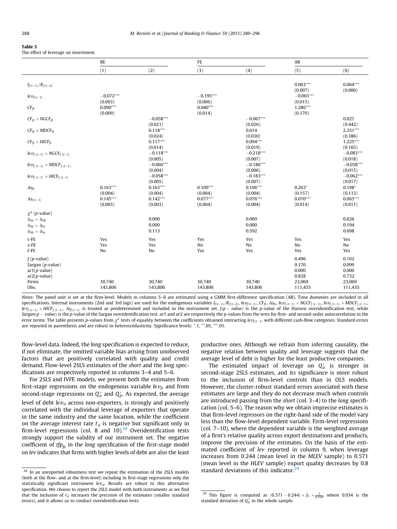The effect of leverage on investment.

|                                                                                    | RE                     |                        | FE                     |                        | AB                                |                                  |
|------------------------------------------------------------------------------------|------------------------|------------------------|------------------------|------------------------|-----------------------------------|----------------------------------|
|                                                                                    | (1)                    | (2)                    | (3)                    | (4)                    | (5)                               | (6)                              |
| $I_{f(t-1)}/K_{f(t-2)}$                                                            |                        |                        |                        |                        | $0.063***$                        | $0.064***$                       |
| $lev_{f(t-1)}$                                                                     | $-0.072***$<br>(0.003) |                        | $-0.195***$<br>(0.006) |                        | (0.007)<br>$-0.065***$<br>(0.015) | (0.006)                          |
| $CF_{ft}$                                                                          | $0.090***$<br>(0.009)  |                        | $0.040***$<br>(0.014)  |                        | 1.286***<br>(0.170)               |                                  |
| $CF_{ft} \times NGCF_{ft}$                                                         |                        | $-0.058***$<br>(0.021) |                        | $-0.067***$<br>(0.026) |                                   | 0.027<br>(0.442)                 |
| $CF_{ft}$ × MDCF <sub>ft</sub>                                                     |                        | $0.118***$<br>(0.024)  |                        | 0.014<br>(0.030)       |                                   | $2.251***$<br>(0.386)            |
| $CF_{ft} \times HICF_{ft}$                                                         |                        | $0.117***$<br>(0.014)  |                        | $0.094***$<br>(0.019)  |                                   | $1.225***$<br>(0.165)            |
| $lev_{f,(t-1)} \times NGCF_{f,(t-1)}$                                              |                        | $-0.118***$<br>(0.005) |                        | $-0.218***$<br>(0.007) |                                   | $-0.083***$<br>(0.018)           |
| $lev_{f,(t-1)} \times MDCF_{f,(t-1)}$                                              |                        | $-0.066***$<br>(0.004) |                        | $-0.186***$<br>(0.006) |                                   | $-0.058***$<br>(0.015)           |
| $lev_{f,(t-1)} \times HICF_{f,(t-1)}$                                              |                        | $-0.058***$<br>(0.005) |                        | $-0.183***$<br>(0.007) |                                   | $-0.062***$<br>(0.017)           |
| $\Delta s_{ft}$                                                                    | $0.163***$<br>(0.004)  | $0.163***$<br>(0.004)  | $0.109***$<br>(0.004)  | $0.106***$<br>(0.004)  | $0.263*$<br>(0.157)               | $0.198*$<br>(0.113)              |
| $\Delta s_{f(t-1)}$                                                                | $0.145***$<br>(0.003)  | $0.142***$<br>(0.003)  | $0.077***$<br>(0.004)  | $0.076***$<br>(0.004)  | $0.070***$<br>(0.014)             | $0.065***$<br>(0.011)            |
| $\chi^2$ ( <i>p</i> -value)                                                        |                        |                        |                        |                        |                                   |                                  |
| $\hat{\alpha}_{5a}=\hat{\alpha}_{5b}$                                              |                        | 0.000<br>0.000         |                        | 0.000<br>0.000         |                                   | 0.026<br>0.194                   |
| $\hat{\alpha}_{5a} = \hat{\alpha}_{5c}$<br>$\hat{\alpha}_{5b} = \hat{\alpha}_{5c}$ |                        | 0.113                  |                        | 0.592                  |                                   | 0.698                            |
| $t$ -FE                                                                            | Yes                    | Yes                    | Yes                    | Yes                    | Yes                               | Yes                              |
| $s$ -FE                                                                            | Yes                    | Yes                    | No                     | No                     | No                                | No                               |
| $f$ -FE                                                                            | No                     | No                     | Yes                    | Yes                    | Yes                               | Yes                              |
| $( p-value )$<br>Sargan (p-value)<br>$ar1(p-value)$<br>$ar2(p-value)$              |                        |                        |                        |                        | 0.496<br>0.170<br>0.000<br>0.828  | 0.162<br>0.099<br>0.000<br>0.732 |
| Firms<br>Obs.                                                                      | 30,740<br>143,806      | 30,740<br>143,806      | 30,740<br>143,806      | 30,740<br>143,806      | 23,069                            | 23,069                           |
|                                                                                    |                        |                        |                        |                        | 111,435                           | 111,435                          |

Notes: The panel unit is set at the firm-level. Models in columns 5–6 are estimated using a GMM first-difference specification (AB). Time dummies are included in all specifications. Internal instruments (2nd and 3rd lags) are used for the endogenous variables  $I_{f(t-1)}/K_{f(t-2)}$ , le $v_{f(t-1)}$ , CFft,  $\Delta g_t$ , le $v_{f,(t-1)}$ ,  $\Delta g_t$ , le $v_{f,(t-1)}$ ,  $\Delta v_{f,(t-1)}$ ,  $\Delta v_{f,(t-1)}$ ,  $\Delta v_{f,(t-1)}$ ,  $\Delta$  $lev_{f,(t-1)} \times HIC_{f,(t-1)}$ .  $\Delta s_{f(t-1)}$  is treated as predetermined and included in the instrument set. J(p – value) is the p-value of the Hansen overidentification test, while Sargan( $p - value$ ) is the p-value of the Sargan overidentification test. ar1 and ar2 are respectively the p-values from the tests for first- and second-order autocorrelation in the error terms. The table presents p-values from  $\chi^2$  tests of equality between the coefficients obtained interacting le $v_{f(t-1)}$  with different cash-flow categories. Standard errors are reported in parenthesis and are robust to heteroscedasticity. Significance levels: \*.1, \*\*.05, \*\*\*.01.

flow-level data. Indeed, the long specification is expected to reduce, if not eliminate, the omitted variable bias arising from unobserved factors that are positively correlated with quality and credit demand. Flow-level 2SLS estimates of the short and the long specifications are respectively reported in columns 3–4 and 5–6.

For 2SLS and IVFE models, we present both the estimates from first-stage regressions on the endogenous variable  $lev_{ft}$  and from second-stage regressions on  $\mathsf{Q}_\textit{it}^*$  and  $\mathsf{Q}_\textit{ft}^*$ . As expected, the average level of debt  $\bar{lev}_{sl}$  across non-exporters, is strongly and positively correlated with the individual leverage of exporters that operate in the same industry and the same location, while the coefficient on the average interest rate  $\bar{r}_{\rm sl}$  is negative but significant only in firm-level regressions (col. 8 and  $10$ ).<sup>28</sup> Overidentification tests strongly support the validity of our instrument set. The negative coefficient of tf $p_{fp}$  in the long specification of the first-stage model on lev indicates that firms with higher levels of debt are also the least

productive ones. Although we refrain from inferring causality, the negative relation between quality and leverage suggests that the average level of debt is higher for the least productive companies.

The estimated impact of leverage on  $Q_{it}^*$  is stronger in second-stage 2SLS estimates, and its significance is more robust to the inclusion of firm-level controls than in OLS models. However, the cluster-robust standard errors associated with these estimates are large and they do not decrease much when controls are introduced passing from the short (col. 3–4) to the long specification (col. 5–6). The reason why we obtain imprecise estimates is that firm-level regressors on the right-hand side of the model vary less than the flow-level dependent variable. Firm-level regressions (col. 7–10), where the dependent variable is the weighted average of a firm's relative quality across export destinations and products, improve the precision of the estimates. On the basis of the estimated coefficient of lev reported in column 9, when leverage increases from 0.244 (mean level in the MLEV sample) to 0.571 (mean level in the HLEV sample) export quality decreases by 0.8 standard deviations of this indicator.<sup>29</sup>

 $\overline{a^2}$  In an unreported robustness test we repeat the estimation of the 2SLS models (both at the flow- and at the firm-level) including in first-stage regressions only the statistically significant instrument  $l\bar{e}\nu_{sl}$ . Results are robust to this alternative specification. We choose to report the 2SLS model with both instruments as we find that the inclusion of  $\bar{r}_{sl}$  increases the precision of the estimates (smaller standard errors), and it allows us to conduct overidentification tests.

<sup>&</sup>lt;sup>29</sup> This figure is computed as  $(0.571 - 0.244) \times \hat{\beta}_1 \times \frac{1}{0.934}$ , where 0.934 is the standard deviation of  $Q_{it}^*$  in the whole sample.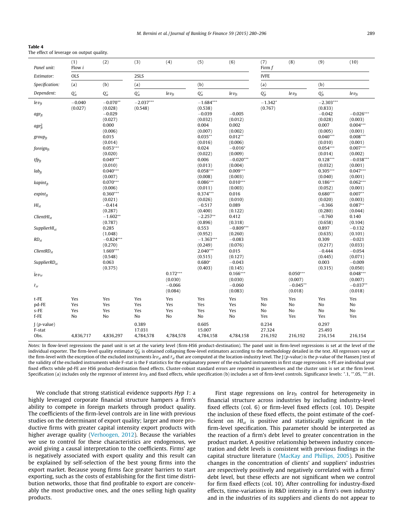| Table 4                          |  |
|----------------------------------|--|
| The effect of leverage on output |  |

quality.

| Panel unit:                    | (1)<br>Flow $\it i$ | (2)         | (3)         | (4)             | (5)         | (6)             | (7)<br>Firm $f$ | (8)             | (9)         | (10)            |
|--------------------------------|---------------------|-------------|-------------|-----------------|-------------|-----------------|-----------------|-----------------|-------------|-----------------|
| Estimator:                     | <b>OLS</b>          |             | 2SLS        |                 |             |                 | <b>IVFE</b>     |                 |             |                 |
| Specification:                 | (a)                 | (b)         | (a)         |                 | (b)         |                 | (a)             |                 | (b)         |                 |
| Dependent:                     | $Q_{it}^*$          | $Q_{it}^*$  | $Q_{it}^*$  | le $v_{\rm ft}$ | $Q_{it}^*$  | le $v_{\rm ft}$ | $Q_{ft}^*$      | le $v_{\rm ft}$ | $Q_{ft}^*$  | le $v_{\rm ft}$ |
| $lev_{ft}$                     | $-0.040$            | $-0.070**$  | $-2.037***$ |                 | $-1.684***$ |                 | $-1.342*$       |                 | $-2.303***$ |                 |
|                                | (0.027)             | (0.028)     | (0.548)     |                 | (0.538)     |                 | (0.767)         |                 | (0.833)     |                 |
| age <sub>ft</sub>              |                     | $-0.029$    |             |                 | $-0.039$    | $-0.005$        |                 |                 | $-0.042$    | $-0.026***$     |
|                                |                     | (0.027)     |             |                 | (0.032)     | (0.012)         |                 |                 | (0.028)     | (0.003)         |
|                                |                     | 0.000       |             |                 | 0.004       | 0.002           |                 |                 | 0.007       | $0.004***$      |
| age <sub>ft</sub> <sup>2</sup> |                     | (0.006)     |             |                 | (0.007)     | (0.002)         |                 |                 | (0.005)     | (0.001)         |
|                                |                     | 0.015       |             |                 | $0.035***$  | $0.012**$       |                 |                 | $0.040***$  | $0.008***$      |
| $group_{ft}$                   |                     |             |             |                 |             |                 |                 |                 |             |                 |
|                                |                     | (0.014)     |             |                 | (0.016)     | (0.006)         |                 |                 | (0.010)     | (0.001)         |
| foreign $_{ft}$                |                     | $0.053***$  |             |                 | 0.024       | $-0.016*$       |                 |                 | $0.054***$  | $0.007***$      |
|                                |                     | (0.020)     |             |                 | (0.022)     | (0.009)         |                 |                 | (0.014)     | (0.002)         |
| $tfp_{ft}$                     |                     | $0.049***$  |             |                 | 0.006       | $-0.020***$     |                 |                 | $0.128***$  | $-0.038***$     |
|                                |                     | (0.010)     |             |                 | (0.013)     | (0.004)         |                 |                 | (0.032)     | (0.001)         |
| $lab_{ft}$                     |                     | $0.040***$  |             |                 | $0.058***$  | $0.009***$      |                 |                 | $0.305***$  | $0.047***$      |
|                                |                     | (0.007)     |             |                 | (0.008)     | (0.003)         |                 |                 | (0.040)     | (0.001)         |
| kapint <sub>ft</sub>           |                     | $0.070***$  |             |                 | $0.086***$  | $0.010***$      |                 |                 | $0.186***$  | $0.062***$      |
|                                |                     | (0.006)     |             |                 | (0.011)     | (0.003)         |                 |                 | (0.052)     | (0.001)         |
| $expint_{ft}$                  |                     | $0.360***$  |             |                 | $0.374***$  | 0.016           |                 |                 | $0.680***$  | $0.007**$       |
|                                |                     | (0.021)     |             |                 | (0.026)     | (0.010)         |                 |                 | (0.020)     | (0.003)         |
| $H\mathbf{I}_{st}$             |                     | $-0.414$    |             |                 | $-0.517$    | 0.089           |                 |                 | $-0.366$    | $0.087**$       |
|                                |                     | (0.287)     |             |                 | (0.400)     | (0.122)         |                 |                 | (0.280)     | (0.044)         |
| ClientHI <sub>st</sub>         |                     | $-1.602**$  |             |                 | $-2.257**$  | 0.412           |                 |                 | $-0.760$    | 0.140           |
|                                |                     | (0.787)     |             |                 | (0.896)     | (0.318)         |                 |                 | (0.658)     | (0.104)         |
| Supplier $HI_{st}$             |                     | 0.285       |             |                 | 0.553       | $-0.809***$     |                 |                 | 0.897       | $-0.132$        |
|                                |                     | (1.048)     |             |                 | (0.952)     | (0.260)         |                 |                 | (0.635)     | (0.101)         |
| $RD_{st}$                      |                     | $-0.824***$ |             |                 | $-1.363***$ | $-0.083$        |                 |                 | 0.309       | $-0.021$        |
|                                |                     | (0.270)     |             |                 | (0.249)     | (0.076)         |                 |                 | (0.217)     | (0.033)         |
|                                |                     |             |             |                 | $2.040***$  |                 |                 |                 |             |                 |
| ClientRD <sub>st</sub>         |                     | $1.669***$  |             |                 |             | 0.015           |                 |                 | $-0.444$    | $-0.054$        |
|                                |                     | (0.548)     |             |                 | (0.515)     | (0.127)         |                 |                 | (0.445)     | (0.071)         |
| SupplierRD <sub>sr</sub>       |                     | 0.063       |             |                 | $0.680*$    | $-0.043$        |                 |                 | 0.003       | $-0.009$        |
|                                |                     | (0.375)     |             |                 | (0.403)     | (0.145)         |                 |                 | (0.315)     | (0.050)         |
| $\bar{l}e\,\nu_{sr}$           |                     |             |             | $0.172***$      |             | $0.166***$      |                 | $0.050***$      |             | $0.048***$      |
|                                |                     |             |             | (0.030)         |             | (0.030)         |                 | (0.007)         |             | (0.007)         |
| $\bar{r}_{sr}$                 |                     |             |             | $-0.066$        |             | $-0.060$        |                 | $-0.045**$      |             | $-0.037**$      |
|                                |                     |             |             | (0.084)         |             | (0.083)         |                 | (0.018)         |             | (0.018)         |
| t-FE                           | Yes                 | Yes         | Yes         | Yes             | Yes         | Yes             | Yes             | Yes             | Yes         | Yes             |
| pd-FE                          | Yes                 | Yes         | Yes         | Yes             | Yes         | Yes             | No              | No              | $\rm No$    | No              |
| $s$ -FE                        | Yes                 | Yes         | Yes         | Yes             | Yes         | Yes             | No              | No              | No          | No              |
| $f$ -FE                        | No                  | No          | No          | No              | No          | No              | Yes             | Yes             | Yes         | Yes             |
|                                |                     |             |             |                 |             |                 |                 |                 |             |                 |
| $J(p$ -value)                  |                     |             | 0.389       |                 | 0.605       |                 | 0.234           |                 | 0.297       |                 |
| F-stat                         |                     |             | 17.031      |                 | 15.007      |                 | 27.324          |                 | 25.493      |                 |
| Obs.                           | 4,836,717           | 4,836,297   | 4,784,578   | 4,784,578       | 4,784,158   | 4,784,158       | 216,192         | 216,192         | 216,154     | 216,154         |

Notes: In flow-level regressions the panel unit is set at the variety level (firm-HS6 product-destination). The panel unit in firm-level regressions is set at the level of the individual exporter. The firm-level quality estimator  $\mathbb{Q}_h^*$  is obtained collapsing flow-level estimators according to the methodology detailed in the text. All regressors vary at the firm-level with the exception of the excluded instruments  $\overline{I}ev_{sl}$  and  $\overline{r}_{sl}$  that are computed at the location-industry level. The J (p-value) is the p-value of the Hansen J test of the validity of the excluded instruments while F-stat is the F statistics for the explanatory power of the excluded instruments in first stage regressions. t-FE are individual year fixed effects while pd-FE are HS6 product-destination fixed effects. Cluster-robust standard errors are reported in parentheses and the cluster unit is set at the firm level. Specification (a) includes only the regressor of interest le $v_{ft}$  and fixed effects, while specification (b) includes a set of firm-level controls. Significance levels: \*.1, \*\*.05, \*\*\*.01.

We conclude that strong statistical evidence supports Hyp 1: a highly leveraged corporate financial structure hampers a firm's ability to compete in foreign markets through product quality. The coefficients of the firm-level controls are in line with previous studies on the determinant of export quality; larger and more productive firms with greater capital intensity export products with higher average quality (Verhoogen, 2012). Because the variables we use to control for these characteristics are endogenous, we avoid giving a causal interpretation to the coefficients. Firms' age is negatively associated with export quality and this result can be explained by self-selection of the best young firms into the export market. Because young firms face greater barriers to start exporting, such as the costs of establishing for the first time distribution networks, those that find profitable to export are conceivably the most productive ones, and the ones selling high quality products.

First stage regressions on le $v_{ft}$  control for heterogeneity in financial structure across industries by including industry-level fixed effects (col. 6) or firm-level fixed effects (col. 10). Despite the inclusion of these fixed effects, the point estimate of the coefficient on  $HI_{st}$  is positive and statistically significant in the firm-level specification. This parameter should be interpreted as the reaction of a firm's debt level to greater concentration in the product market. A positive relationship between industry concentration and debt levels is consistent with previous findings in the capital structure literature (MacKay and Phillips, 2005). Positive changes in the concentration of clients' and suppliers' industries are respectively positively and negatively correlated with a firms' debt level, but these effects are not significant when we control for firm fixed effects (col. 10). After controlling for industry-fixed effects, time-variations in R&D intensity in a firm's own industry and in the industries of its suppliers and clients do not appear to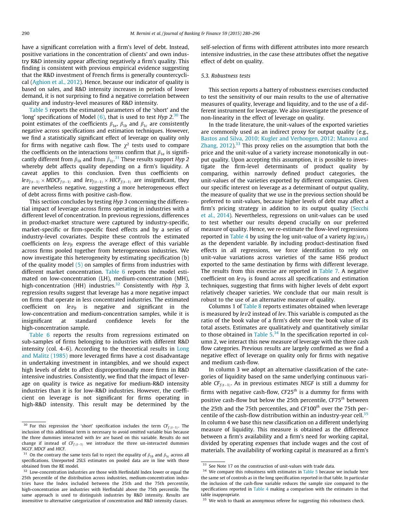have a significant correlation with a firm's level of debt. Instead, positive variations in the concentration of clients' and own industry R&D intensity appear affecting negatively a firm's quality. This finding is consistent with previous empirical evidence suggesting that the R&D investment of French firms is generally countercyclical (Aghion et al., 2012). Hence, because our indicator of quality is based on sales, and R&D intensity increases in periods of lower demand, it is not surprising to find a negative correlation between quality and industry-level measures of R&D intensity.

Table 5 reports the estimated parameters of the 'short' and the 'long' specifications of Model  $(6)$ , that is used to test Hyp 2. $30$  The point estimates of the coefficients  $\beta_{1a}$ ,  $\beta_{1b}$  and  $\beta_{1c}$  are consistently negative across specifications and estimation techniques. However, we find a statistically significant effect of leverage on quality only for firms with negative cash flow. The  $\chi^2$  tests used to compare the coefficients on the interactions terms confirm that  $\beta_{1a}$  is significantly different from  $\beta_{1b}$  and from  $\beta_{1c}$ .<sup>31</sup> These results support Hyp 2 whereby debt affects quality depending on a firm's liquidity. A caveat applies to this conclusion. Even thus coefficients on  $lev_{f(t-1)} \times MDCF_{f(t-1)}$  and  $lev_{f(t-1)} \times HICF_{f(t-1)}$  are insignificant, they are nevertheless negative, suggesting a more heterogeneous effect of debt across firms with positive cash-flow.

This section concludes by testing Hyp 3 concerning the differential impact of leverage across firms operating in industries with a different level of concentration. In previous regressions, differences in product-market structure were captured by industry-specific, market-specific or firm-specific fixed effects and by a series of industry-level covariates. Despite these controls the estimated coefficients on  $lev_{ft}$  express the average effect of this variable across firms pooled together from heterogeneous industries. We now investigate this heterogeneity by estimating specification (b) of the quality model (5) on samples of firms from industries with different market concentration. Table 6 reports the model estimated on low-concentration (LH), medium-concentration (MH), high-concentration (HH) industries.<sup>32</sup> Consistently with Hyp 3, regression results suggest that leverage has a more negative impact on firms that operate in less concentrated industries. The estimated coefficient on  $lev_{ft}$  is negative and significant in the low-concentration and medium-concentration samples, while it is insignificant at standard confidence levels for the high-concentration sample.

Table 6 reports the results from regressions estimated on sub-samples of firms belonging to industries with different R&D intensity (col. 4–6). According to the theoretical results in Long and Malitz (1985) more leveraged firms have a cost disadvantage in undertaking investment in intangibles, and we should expect high levels of debt to affect disproportionally more firms in R&D intensive industries. Consistently, we find that the impact of leverage on quality is twice as negative for medium-R&D intensity industries than it is for low-R&D industries. However, the coefficient on leverage is not significant for firms operating in high-R&D intensity. This result may be determined by the

self-selection of firms with different attributes into more research intensive industries, in the case these attributes offset the negative effect of debt on quality.

### 5.3. Robustness tests

This section reports a battery of robustness exercises conducted to test the sensitivity of our main results to the use of alternative measures of quality, leverage and liquidity, and to the use of a different instrument for leverage. We also investigate the presence of non-linearity in the effect of leverage on quality.

In the trade literature, the unit-values of the exported varieties are commonly used as an indirect proxy for output quality (e.g., Bastos and Silva, 2010; Kugler and Verhoogen, 2012; Manova and Zhang,  $2012$ ).<sup>33</sup> This proxy relies on the assumption that both the price and the unit-value of a variety increase monotonically in output quality. Upon accepting this assumption, it is possible to investigate the firm-level determinants of product quality by comparing, within narrowly defined product categories, the unit-values of the varieties exported by different companies. Given our specific interest on leverage as a determinant of output quality, the measure of quality that we use in the previous section should be preferred to unit-values, because higher levels of debt may affect a firm's pricing strategy in addition to its output quality (Secchi et al., 2014). Nevertheless, regressions on unit-values can be used to test whether our results depend crucially on our preferred measure of quality. Hence, we re-estimate the flow-level regressions reported in Table 4 by using the log unit-value of a variety  $log(u v_{it})$ as the dependent variable. By including product-destination fixed effects in all regressions, we force identification to rely on unit-value variations across varieties of the same HS6 product exported to the same destination by firms with different leverage. The results from this exercise are reported in Table 7. A negative coefficient on  $lev_{ft}$  is found across all specifications and estimation techniques, suggesting that firms with higher levels of debt export relatively cheaper varieties. We conclude that our main result is robust to the use of an alternative measure of quality.

Columns 1 of Table 8 reports estimates obtained when leverage is measured by  $lev2$  instead of lev. This variable is computed as the ratio of the book value of a firm's debt over the book value of its total assets. Estimates are qualitatively and quantitatively similar to those obtained in Table  $5^{34}$  In the specification reported in column 2, we interact this new measure of leverage with the three cash flow categories. Previous results are largely confirmed as we find a negative effect of leverage on quality only for firms with negative and medium cash-flow.

In column 3 we adopt an alternative classification of the categories of liquidity based on the same underlying continuous variable  $CF_{f(t-1)}$ . As in previous estimates NEGF is still a dummy for firms with negative cash-flow,  $CF25<sup>th</sup>$  is a dummy for firms with positive cash-flow but below the 25th percentile,  $CF75<sup>th</sup>$  between the 25th and the 75th percentiles, and  $CF100<sup>th</sup>$  over the 75th percentile of the cash-flow distribution within an industry-year cell. $35$ In column 4 we base this new classification on a different underlying measure of liquidity. This measure is obtained as the difference between a firm's availability and a firm's need for working capital, divided by operating expenses that include wages and the cost of materials. The availability of working capital is measured as a firm's

 $\frac{30}{30}$  For this regression the 'short' specification includes the term  $CF_{f,(t-1)}$ . The inclusion of this additional term is necessary to avoid omitted variable bias because the three dummies interacted with lev are based on this variable. Results do not change if instead of  $CF_{f,(t-1)}$  we introduce the three un-interacted dummies NGCF; MDCF and HICF.

On the contrary the same tests fail to reject the equality of  $\beta_{1b}$  and  $\beta_{1c}$  across all specifications. Unreported 2SLS estimates on pooled data are in line with those obtained from the RE model.

<sup>&</sup>lt;sup>32</sup> Low-concentration industries are those with Herfindahl Index lower or equal the 25th percentile of the distribution across industries, medium-concentration industries have the Index included between the 25th and the 75th percentile, high-concentration are industries with Herfindahl above the 75th percentile. The same approach is used to distinguish industries by R&D intensity. Results are insensitive to alternative categorization of concentration and R&D intensity classes.

<sup>&</sup>lt;sup>33</sup> See Note 17 on the construction of unit-values with trade data.

 $^{34}$  We compare this robustness with estimates in Table 5 because we include here the same set of controls as in the long specification reported in that table. In particular the inclusion of the cash-flow variable reduces the sample size compared to the specifications reported in Table 4 making a comparison with the estimates in that table inappropriate.

<sup>&</sup>lt;sup>35</sup> We wish to thank an anonymous referee for suggesting this robustness check.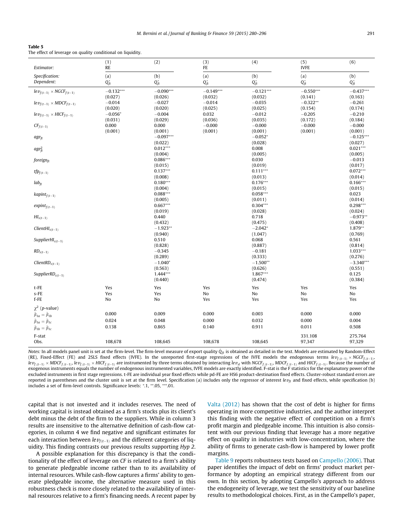The effect of leverage on quality conditional on liquidity.

| Estimator:                                                                     | (1)<br>$\mathsf{RE}$           | (2)                            | (3)<br>$\mathop{\mathsf{FE}}$  | (4)                            | (5)<br><b>IVFE</b>               | (6)                            |
|--------------------------------------------------------------------------------|--------------------------------|--------------------------------|--------------------------------|--------------------------------|----------------------------------|--------------------------------|
| Specification:<br>Dependent:                                                   | (a)<br>$Q_{ft}^*$              | (b)<br>$\mathbf{Q}^*_{\!f\!t}$ | (a)<br>$Q_{ft}^*$              | (b)<br>$Q_{ft}^*$              | (a)<br>$Q_{ft}^*$                | (b)<br>$\mathbf{Q}^*_{ft}$     |
| $lev_{f(t-1)} \times NGCF_{f(t-1)}$                                            | $-0.132***$                    | $-0.090***$                    | $-0.149***$                    | $-0.121***$                    | $-0.550***$                      | $-0.437***$                    |
| $lev_{f(t-1)} \times MDCF_{f(t-1)}$                                            | (0.027)<br>$-0.014$<br>(0.020) | (0.026)<br>$-0.027$<br>(0.020) | (0.032)<br>$-0.014$<br>(0.025) | (0.032)<br>$-0.035$<br>(0.025) | (0.141)<br>$-0.322**$<br>(0.154) | (0.163)<br>$-0.261$<br>(0.174) |
| $lev_{f(t-1)} \times HICF_{f(t-1)}$                                            | $-0.056*$<br>(0.031)           | $-0.004$<br>(0.029)            | 0.032<br>(0.036)               | $-0.012$<br>(0.035)            | $-0.205$<br>(0.172)              | $-0.210$<br>(0.184)            |
| $CF_{f(t-1)}$                                                                  | 0.000<br>(0.001)               | 0.000<br>(0.001)               | $-0.000$<br>(0.001)            | $-0.000$<br>(0.001)            | $-0.000$<br>(0.001)              | $-0.000$<br>(0.001)            |
| age <sub>ft</sub>                                                              |                                | $-0.097***$<br>(0.022)         |                                | $-0.052*$<br>(0.028)           |                                  | $-0.125***$<br>(0.027)         |
| age <sub>f</sub> <sup>2</sup>                                                  |                                | $0.012***$<br>(0.004)          |                                | 0.008<br>(0.005)               |                                  | $0.021***$<br>(0.005)          |
| $foreign$ <sub>ft</sub>                                                        |                                | $0.086***$<br>(0.015)          |                                | 0.030<br>(0.019)               |                                  | $-0.013$<br>(0.017)            |
| $tfp_{f(t-1)}$                                                                 |                                | $0.137***$<br>(0.008)          |                                | $0.111***$<br>(0.013)          |                                  | $0.072***$<br>(0.014)          |
| $lab_{ft}$                                                                     |                                | $0.180***$<br>(0.004)          |                                | $0.176***$<br>(0.015)          |                                  | $0.166***$<br>(0.015)          |
| $kapint_{f(t-1)}$                                                              |                                | $0.088***$<br>(0.005)          |                                | $0.058***$<br>(0.011)          |                                  | 0.023<br>(0.014)               |
| $expint_{f(t-1)}$                                                              |                                | $0.667***$<br>(0.019)          |                                | $0.304***$<br>(0.028)          |                                  | $0.298***$<br>(0.024)          |
| $HI_{s(t-1)}$                                                                  |                                | 0.440<br>(0.432)               |                                | 0.718<br>(0.475)               |                                  | $-0.973**$<br>(0.408)          |
| $ClientHIs(t-1)$                                                               |                                | $-1.923**$<br>(0.940)          |                                | $-2.042*$<br>(1.047)           |                                  | 1.879**<br>(0.769)             |
| Supplier $HI_{s(t-1)}$                                                         |                                | 0.510<br>(0.828)               |                                | 0.068<br>(0.887)               |                                  | 0.561<br>(0.814)               |
| $RD_{s(t-1)}$                                                                  |                                | $-0.345$<br>(0.289)            |                                | $-0.181$<br>(0.333)            |                                  | $1.033***$<br>(0.276)          |
| ClientRD <sub>s(t-1)</sub>                                                     |                                | $-1.040*$<br>(0.563)           |                                | $-1.500**$<br>(0.626)          |                                  | $-3.340***$<br>(0.551)         |
| SupplierR $D_{s(t-1)}$                                                         |                                | $1.444***$<br>(0.440)          |                                | 1.867***<br>(0.474)            |                                  | 0.125<br>(0.384)               |
| $t$ -FE<br>$s$ -FE                                                             | Yes<br>Yes                     | Yes<br>Yes                     | Yes<br>$\rm No$                | Yes<br>No                      | Yes<br>$\rm No$                  | Yes<br>No                      |
| f-FE                                                                           | No                             | No                             | Yes                            | Yes                            | Yes                              | Yes                            |
| $\chi^2$ (p-value)                                                             |                                |                                |                                |                                |                                  |                                |
| $\hat{\beta}_{1a} = \hat{\beta}_{1b}$                                          | 0.000<br>0.024                 | 0.009<br>0.048                 | 0.000<br>0.000                 | 0.003<br>0.032                 | 0.000<br>0.000                   | 0.000<br>0.004                 |
| $\hat{\beta}_{1a} = \hat{\beta}_{1c}$<br>$\hat{\beta}_{1b} = \hat{\beta}_{1c}$ | 0.138                          | 0.865                          | 0.140                          | 0.911                          | 0.011                            | 0.508                          |
| F-stat<br>Obs.                                                                 | 108,678                        | 108,645                        | 108,678                        | 108,645                        | 331.108<br>97,347                | 275.764<br>97,329              |

Notes: In all models panel unit is set at the firm-level. The firm-level measure of export quality  $\hat{Q}_f$  is obtained as detailed in the text. Models are estimated by Random-Effect (RE), Fixed-Effect (FE) and 2SLS fixed effects (IVFE). In the unreported first-stage regressions of the IVFE models the endogenous terms  $lev_{f,(t-1)} \times NGCF_{f,(t-1)}$  $lev_{f,(t-1)} \times MDCF_{f,(t-1)}$ ,  $lev_{f,(t-1)} \times HCF_{f,(t-1)}$  are instrumented by three terms obtained by interacting  $\bar{lev}_{sl}$  with NGCF<sub>f</sub><sub>(t-1</sub>), MDCF<sub>f<sub>1</sub>(t-1)</sub>, and HICF<sub>f</sub><sub>(t-1</sub>). Because the number of exogenous instruments equals the number of endogenous instrumented variables, IVFE models are exactly identified. F-stat is the F statistics for the explanatory power of the excluded instruments in first stage regressions. t-FE are individual year fixed effects while pd-FE are HS6 product-destination fixed effects. Cluster-robust standard errors are reported in parentheses and the cluster unit is set at the firm level. Specification (a) includes only the regressor of interest  $lev_{ft}$  and fixed effects, while specification (b) includes a set of firm-level controls. Significance levels: \*.1, \*\*.05, \*\*\*.01.

capital that is not invested and it includes reserves. The need of working capital is instead obtained as a firm's stocks plus its client's debt minus the debt of the firm to the suppliers. While in column 3 results are insensitive to the alternative definition of cash-flow categories, in column 4 we find negative and significant estimates for each interaction between le $v_{f(t-1)}$  and the different categories of liquidity. This finding contrasts our previous results supporting Hyp 2.

A possible explanation for this discrepancy is that the conditionality of the effect of leverage on CF is related to a firm's ability to generate pledgeable income rather than to its availability of internal resources. While cash-flow captures a firms' ability to generate pledgeable income, the alternative measure used in this robustness check is more closely related to the availability of internal resources relative to a firm's financing needs. A recent paper by

Valta (2012) has shown that the cost of debt is higher for firms operating in more competitive industries, and the author interpret this finding with the negative effect of competition on a firm's profit margin and pledgeable income. This intuition is also consistent with our previous finding that leverage has a more negative effect on quality in industries with low-concentration, where the ability of firms to generate cash-flow is hampered by lower profit margins.

Table 9 reports robustness tests based on Campello (2006). That paper identifies the impact of debt on firms' product market performance by adopting an empirical strategy different from our own. In this section, by adopting Campello's approach to address the endogeneity of leverage, we test the sensitivity of our baseline results to methodological choices. First, as in the Campello's paper,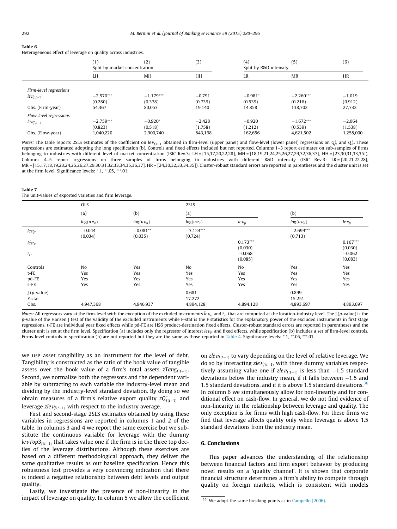Heterogeneous effect of leverage on quality across industries.

|                        | $\left(1\right)$<br>Split by market concentration | (2)         | (3)      | (4)<br>Split by R&D intensity | (5)         | (6)       |
|------------------------|---------------------------------------------------|-------------|----------|-------------------------------|-------------|-----------|
|                        | LH                                                | MH          | HH       | LR                            | MR          | HR        |
| Firm-level regressions | $-2.570***$                                       | $-1.179***$ | $-0.791$ | $-0.981*$                     | $-2.260***$ | $-1.019$  |
| $lev_{f,t-1}$          | (0.280)                                           | (0.378)     | (0.739)  | (0.539)                       | (0.216)     | (0.912)   |
| Obs. (Firm-year)       | 54,367                                            | 80,053      | 19,140   | 14,858                        | 138.702     | 27,732    |
| Flow-level regressions | $-2.759***$                                       | $-0.920*$   | $-2.428$ | $-0.920$                      | $-1.672***$ | $-2.064$  |
| $lev_{f,t-1}$          | (0.823)                                           | (0.518)     | (1.758)  | (1.212)                       | (0.539)     | (1.538)   |
| Obs. (Flow-year)       | 1,040,220                                         | 2,900,740   | 843,198  | 162,656                       | 4,621,502   | 1,258,000 |

Notes: The table reports 2SLS estimates of the coefficient on le $v_{f,t-1}$  obtained in firm-level (upper panel) and flow-level (lower panel) regressions on  $\mathcal{Q}_h^*$  and  $\mathcal{Q}_u^*$ . These regressions are estimated adopting the long specification (b). Controls and fixed effects included but not reported. Columns 1–3 report estimates on sub-samples of firms belonging to industries with different level of market concentration (ISIC Rev.3: LH = [15,17,20,22,28], MH = [18,19,21,24,25,26,27,29,32,36,37], HH = [23,30,31,33,35]). Columns 4–5 report regressions on three samples of firms belonging to industries with different R&D intensity (ISIC Rev.3: LR = [20,21,22,28], MR = [15,17,18,19,23,24,25,26,27,29,30,31,32,33,34,35,36,37], HR = [24,30,32,33,34,35]). Cluster-robust standard errors are reported in parentheses and the cluster unit is set at the firm level. Significance levels: \*.1, \*\*.05, \*\*\*.01.

#### Table 7

The unit-values of exported varieties and firm leverage.

|                                | <b>OLS</b>          |                       | 2SLS                         |                       |                              |                       |  |
|--------------------------------|---------------------|-----------------------|------------------------------|-----------------------|------------------------------|-----------------------|--|
|                                | (a)                 | (b)                   | (a)                          |                       | (b)                          |                       |  |
|                                | $log(u v_{it})$     | $log(u v_{it})$       | $log(u v_{ir})$              | le $v_{ft}$           | $log(u v_{it})$              | $lev_{ft}$            |  |
| $lev_{ft}$                     | $-0.044$<br>(0.034) | $-0.081**$<br>(0.035) | $-3.124***$<br>(0.724)       |                       | $-2.699***$<br>(0.713)       |                       |  |
| $l\bar{e}v_{sr}$               |                     |                       |                              | $0.173***$<br>(0.030) |                              | $0.167***$<br>(0.030) |  |
| $\bar{r}_{sr}$                 |                     |                       |                              | $-0.068$<br>(0.085)   |                              | $-0.062$<br>(0.083)   |  |
| Controls                       | N <sub>o</sub>      | Yes                   | No                           | N <sub>o</sub>        | Yes                          | Yes                   |  |
| $t$ -FE                        | Yes                 | Yes                   | Yes                          | Yes                   | Yes                          | Yes                   |  |
| pd-FE                          | Yes                 | Yes                   | Yes                          | Yes                   | Yes                          | Yes                   |  |
| $s$ -FE                        | Yes                 | Yes                   | Yes                          | Yes                   | Yes                          | Yes                   |  |
| $J(p-value)$<br>F-stat<br>Obs. | 4,947,368           | 4,946,937             | 0.681<br>17.272<br>4,894,128 | 4,894,128             | 0.899<br>15.251<br>4,893,697 | 4,893,697             |  |

Notes: All regressors vary at the firm-level with the exception of the excluded instruments  $\bar{I}ev_{si}$  and  $\bar{r}_{si}$  that are computed at the location-industry level. The J (p-value) is the p-value of the Hansen J test of the validity of the excluded instruments while F-stat is the F statistics for the explanatory power of the excluded instruments in first stage regressions. t-FE are individual year fixed effects while pd-FE are HS6 product-destination fixed effects. Cluster-robust standard errors are reported in parentheses and the cluster unit is set at the firm level. Specification (a) includes only the regressor of interest le $v<sub>f</sub>$  and fixed effects, while specification (b) includes a set of firm-level controls. Firms-level controls in specification (b) are not reported but they are the same as those reported in Table 4. Significance levels: \*.1, \*\*.05, \*\*\*.01.

we use asset tangibility as an instrument for the level of debt. Tangibility is constructed as the ratio of the book value of tangible assets over the book value of a firm's total assets  $zTang_{f(t-1)}$ . Second, we normalize both the regressors and the dependent variable by subtracting to each variable the industry-level mean and dividing by the industry-level standard deviation. By doing so we obtain measures of a firm's relative export quality  $zQ_{f(t-1)}^*$  and leverage  $zlev_{f(t-1)}$  with respect to the industry average.

First and second-stage 2SLS estimates obtained by using these variables in regressions are reported in columns 1 and 2 of the table. In columns 3 and 4 we report the same exercise but we substitute the continuous variable for leverage with the dummy levTop3 $f(t-1)}$  that takes value one if the firm is in the three top deciles of the leverage distributions. Although these exercises are based on a different methodological approach, they deliver the same qualitative results as our baseline specification. Hence this robustness test provides a very convincing indication that there is indeed a negative relationship between debt levels and output quality.

Lastly, we investigate the presence of non-linearity in the impact of leverage on quality. In column 5 we allow the coefficient on zle $v_{f(t-1)}$  to vary depending on the level of relative leverage. We do so by interacting  $zlev_{f(t-1)}$  with three dummy variables respectively assuming value one if zle $v_{f(t-1)}$  is less than -1.5 standard deviations below the industry mean, if it falls between  $-1.5$  and 1.5 standard deviations, and if it is above 1.5 standard deviations.  $36$ In column 6 we simultaneously allow for non-linearity and for conditional effect on cash-flow. In general, we do not find evidence of non-linearity in the relationship between leverage and quality. The only exception is for firms with high cash-flow. For these firms we find that leverage affects quality only when leverage is above 1.5 standard deviations from the industry mean.

# 6. Conclusions

This paper advances the understanding of the relationship between financial factors and firm export behavior by producing novel results on a 'quality channel'. It is shown that corporate financial structure determines a firm's ability to compete through quality on foreign markets, which is consistent with models

<sup>36</sup> We adopt the same breaking points as in Campello (2006).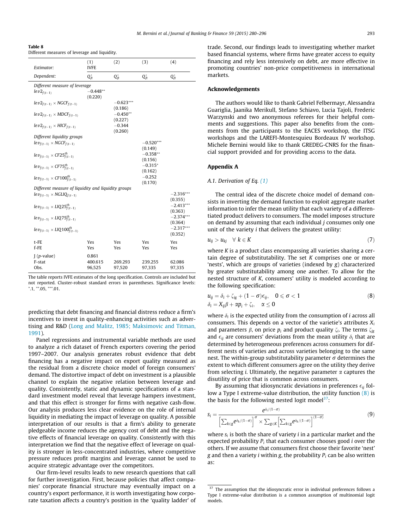Different measures of leverage and liquidity.

| Estimator:                                                                                                                           | (1)<br><b>IVFE</b>         | (2)                                  | (3)                                         | (4)                                                                                       |
|--------------------------------------------------------------------------------------------------------------------------------------|----------------------------|--------------------------------------|---------------------------------------------|-------------------------------------------------------------------------------------------|
| Dependent:                                                                                                                           | $Q_{ft}^*$                 | $Q_{ft}^*$                           | $Q_{ft}^*$                                  | $Q_{ft}^*$                                                                                |
| Different measure of leverage<br>$lev2_{f(t-1)}$<br>$lev2_{f(t-1)} \times NGCF_{f(t-1)}$<br>$lev2_{f(t-1)}$ × MDCF <sub>f(t-1)</sub> | $-0.448**$<br>(0.220)      | $-0.623***$<br>(0.186)<br>$-0.450**$ |                                             |                                                                                           |
| $lev2_{f(t-1)} \times HICF_{f(t-1)}$                                                                                                 |                            | (0.227)<br>$-0.344$<br>(0.260)       |                                             |                                                                                           |
| Different liquidity groups<br>$le v_{f(t-1)} \times NGCF_{f(t-1)}$                                                                   |                            |                                      | $-0.520***$                                 |                                                                                           |
| $le v_{f(t-1)} \times CF25^{th}_{f(t-1)}$                                                                                            |                            |                                      | (0.149)<br>$-0.358**$<br>(0.156)            |                                                                                           |
| $le v_{f(t-1)} \times CFT5_{f(t-1)}^{th}$<br>$le v_{f(t-1)} \times CF100^{th}_{f(t-1)}$                                              |                            |                                      | $-0.315*$<br>(0.162)<br>$-0.252$<br>(0.170) |                                                                                           |
| Different measure of liquidity and liquidity groups                                                                                  |                            |                                      |                                             |                                                                                           |
| $le v_{f(t-1)} \times NGLIQ_{f(t-1)}$<br>$lev_{f(t-1)} \times LIQ25^{th}_{f(t-1)}$<br>$lev_{f(t-1)} \times LIQ75^{th}_{f(t-1)}$      |                            |                                      |                                             | $-2.316***$<br>(0.355)<br>$-2.413***$<br>(0.363)<br>$-2.374***$<br>(0.364)<br>$-2.317***$ |
| $le v_{f(t-1)} \times LIQ100^{th}_{f(t-1)}$                                                                                          |                            |                                      |                                             | (0.352)                                                                                   |
| t-FE<br>f-FE                                                                                                                         | Yes<br>Yes                 | Yes<br>Yes                           | Yes<br>Yes                                  | Yes<br>Yes                                                                                |
| $( p-value )$<br>F-stat<br>Obs.                                                                                                      | 0.861<br>400.615<br>96.525 | 269.293<br>97,520                    | 239.255<br>97.335                           | 62.086<br>97,335                                                                          |

The table reports IVFE estimates of the long specification. Controls are included but not reported. Cluster-robust standard errors in parentheses. Significance levels:  $^*$ .1,  $^*$ .05,  $^{***}$ .01.

predicting that debt financing and financial distress reduce a firm's incentives to invest in quality-enhancing activities such as advertising and R&D (Long and Malitz, 1985; Maksimovic and Titman, 1991).

Panel regressions and instrumental variable methods are used to analyze a rich dataset of French exporters covering the period 1997–2007. Our analysis generates robust evidence that debt financing has a negative impact on export quality measured as the residual from a discrete choice model of foreign consumers' demand. The distortive impact of debt on investment is a plausible channel to explain the negative relation between leverage and quality. Consistently, static and dynamic specifications of a standard investment model reveal that leverage hampers investment, and that this effect is stronger for firms with negative cash-flow. Our analysis produces less clear evidence on the role of internal liquidity in mediating the impact of leverage on quality. A possible interpretation of our results is that a firm's ability to generate pledgeable income reduces the agency cost of debt and the negative effects of financial leverage on quality. Consistently with this interpretation we find that the negative effect of leverage on quality is stronger in less-concentrated industries, where competitive pressure reduces profit margins and leverage cannot be used to acquire strategic advantage over the competitors.

Our firm-level results leads to new research questions that call for further investigation. First, because policies that affect companies' corporate financial structure may eventually impact on a country's export performance, it is worth investigating how corporate taxation affects a country's position in the 'quality ladder' of

### Acknowledgements

The authors would like to thank Gabriel Felbermayr, Alessandra Guariglia, Jaanika Merikull, Stefano Schiavo, Lucia Tajoli, Frederic Warzynski and two anonymous referees for their helpful comments and suggestions. This paper also benefits from the comments from the participants to the EACES workshop, the ITSG workshops and the LAREFI-Montesquieu Bordeaux IV workshop. Michele Bernini would like to thank GREDEG-CNRS for the financial support provided and for providing access to the data.

#### Appendix A

#### A.1. Derivation of Eq. (1)

The central idea of the discrete choice model of demand consists in inverting the demand function to exploit aggregate market information to infer the mean utility that each variety of a differentiated product delivers to consumers. The model imposes structure on demand by assuming that each individual  $j$  consumes only one unit of the variety i that delivers the greatest utility:

$$
u_{ij} > u_{kj} \quad \forall \ k \in K \tag{7}
$$

where  $K$  is a product class encompassing all varieties sharing a certain degree of substitutability. The set  $K$  comprises one or more 'nests', which are groups of varieties (indexed by g) characterized by greater substitutability among one another. To allow for the nested structure of K, consumers' utility is modeled according to the following specification:

$$
u_{ij} = \delta_i + \zeta_{ig} + (1 - \sigma)\epsilon_{ij}, \quad 0 \le \sigma < 1
$$
  
\n
$$
\delta_i = X_{ij}\beta + \alpha p_i + \zeta_i, \quad \alpha \le 0
$$
\n(8)

where  $\delta_i$  is the expected utility from the consumption of *i* across all consumers. This depends on a vector of the varietie's attributes  $X_i$ and parameters  $\beta$ , on price  $p_i$  and product quality  $\zeta_i$ . The terms  $\zeta_{ig}$ and  $\epsilon_{ij}$  are consumers' deviations from the mean utility  $\delta_i$  that are determined by heterogeneous preferences across consumers for different nests of varieties and across varieties belonging to the same nest. The within-group substitutability parameter  $\sigma$  determines the extent to which different consumers agree on the utility they derive from selecting *i*. Ultimately, the negative parameter  $\alpha$  captures the disutility of price that is common across consumers.

By assuming that idiosyncratic deviations in preferences  $\epsilon_{ij}$  follow a Type I extreme-value distribution, the utility function (8) is the basis for the following nested logit model<sup>37</sup>:

$$
s_i = \frac{e^{\delta_i/(1-\sigma)}}{\left[\sum_{k \in g} e^{\delta_k/(1-\sigma)}\right]^{\sigma} \times \sum_{g \in K} \left[\sum_{k \in g} e^{\delta_k/(1-\sigma)}\right]^{(1-\sigma)}}
$$
(9)

where  $s_i$  is both the share of variety *i* in a particular market and the expected probability  $P_i$  that each consumer chooses good *i* over the others. If we assume that consumers first choose their favorite 'nest' g and then a variety *i* within g, the probability  $P_i$  can be also written as:

 $37$  The assumption that the idiosyncratic error in individual preferences follows a Type I extreme-value distribution is a common assumption of multinomial logit models.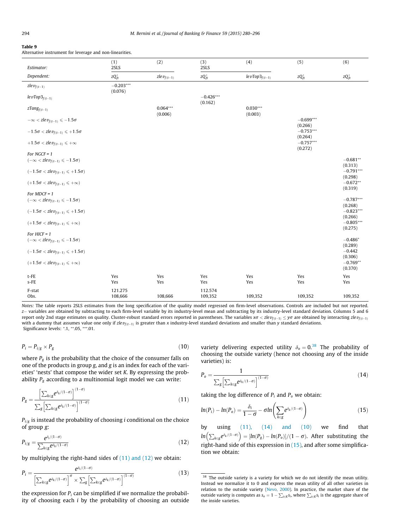Alternative instrument for leverage and non-linearities.

| Estimator:                                                       | (1)<br>2SLS            | (2)                   | (3)<br>2SLS            | (4)                   | (5)                    | (6)                            |
|------------------------------------------------------------------|------------------------|-----------------------|------------------------|-----------------------|------------------------|--------------------------------|
| Dependent:                                                       | $zQ_{ft}^*$            | zle $v_{f(t-1)}$      | $zQ_{ft}^*$            | $levTop3_{f(t-1)}$    | $zQ_{ft}^*$            | $zQ_{ft}^*$                    |
| zle $v_{f(t-1)}$                                                 | $-0.203***$<br>(0.076) |                       |                        |                       |                        |                                |
| $levTop3_{f(t-1)}$                                               |                        |                       | $-0.426***$<br>(0.162) |                       |                        |                                |
| $zTangf(t-1)$                                                    |                        | $0.064***$<br>(0.006) |                        | $0.030***$<br>(0.003) |                        |                                |
| $-\infty <$ zle $v_{f(t-1)} \leq -1.5\sigma$                     |                        |                       |                        |                       | $-0.699***$<br>(0.266) |                                |
| $-1.5\sigma <$ zle $v_{f(t-1)} \leq 1.5\sigma$                   |                        |                       |                        |                       | $-0.753***$<br>(0.264) |                                |
| +1.5 $\sigma$ < zle $v_{f(t-1)} \le +\infty$                     |                        |                       |                        |                       | $-0.757***$<br>(0.272) |                                |
| For $NGCF = 1$<br>$(-\infty <$ zle $v_{f(t-1)} \leq -1.5\sigma)$ |                        |                       |                        |                       |                        | $-0.681**$<br>(0.313)          |
| $(-1.5\sigma <$ zle $v_{f(t-1)} \leq 1.5\sigma)$                 |                        |                       |                        |                       |                        | $-0.791***$<br>(0.298)         |
| $(+1.5\sigma <$ zle $v_{f(t-1)} \leq +\infty)$                   |                        |                       |                        |                       |                        | $-0.672**$<br>(0.319)          |
| For $MDCF = 1$<br>$(-\infty <$ zle $v_{f(t-1)} \leq -1.5\sigma)$ |                        |                       |                        |                       |                        | $-0.787***$<br>(0.268)         |
| $(-1.5\sigma <$ zle $v_{f(t-1)} \leq +1.5\sigma)$                |                        |                       |                        |                       |                        | $-0.823***$<br>(0.266)         |
| $(+1.5\sigma <$ zle $v_{f(t-1)} \leq +\infty)$                   |                        |                       |                        |                       |                        | $-0.805***$<br>(0.275)         |
| For $HICF = 1$<br>$(-\infty <$ zle $v_{f(t-1)} \leq -1.5\sigma)$ |                        |                       |                        |                       |                        | $-0.486*$                      |
| $(-1.5\sigma <$ zle $v_{f(t-1)} \leqslant +1.5\sigma)$           |                        |                       |                        |                       |                        | (0.289)<br>$-0.442$<br>(0.306) |
| $(+1.5\sigma <$ zle $v_{f(t-1)} \leq +\infty)$                   |                        |                       |                        |                       |                        | $-0.769**$<br>(0.370)          |
| $t$ -FE<br>s-FE                                                  | Yes<br>Yes             | Yes<br>Yes            | Yes<br>Yes             | Yes<br>Yes            | Yes<br>Yes             | Yes<br>Yes                     |
| F-stat<br>Obs.                                                   | 121.275<br>108,666     | 108,666               | 112.574<br>109,352     | 109,352               | 109,352                | 109,352                        |

Notes: The table reports 2SLS estimates from the long specification of the quality model regressed on firm-level observations. Controls are included but not reported. z- variables are obtained by subtracting to each firm-level variable by its industry-level mean and subtracting by its industry-level standard deviation. Columns 5 and 6 report only 2nd stage estimates on quality. Cluster-robust standard errors reported in parentheses. The variables  $x\sigma < z\ell e v_{f(t-1)} \leq y\sigma$  are obtained by interacting  $z\ell e v_{f(t-1)}$ with a dummy that assumes value one only if zlev $y_{(t-1)}$  is greater than x industry-level standard deviations and smaller than y standard deviations. Significance levels: \*.1, \*\*.05, \*\*\*.01.

$$
P_i = P_{i/g} \times P_g \tag{10}
$$

where  $P_g$  is the probability that the choice of the consumer falls on one of the products in group g, and g is an index for each of the varieties' 'nests' that compose the wider set K. By expressing the probability  $P_g$  according to a multinomial logit model we can write:

$$
P_{g} = \frac{\left[\sum_{k \in g} e^{\delta_k/(1-\sigma)}\right]^{(1-\sigma)}}{\sum_{g} \left[\sum_{k \in g} e^{\delta_k/(1-\sigma)}\right]^{(1-\sigma)}}
$$
(11)

 $P_{i/g}$  is instead the probability of choosing *i* conditional on the choice of group g:

$$
P_{i/g} = \frac{e^{\delta_i/(1-\sigma)}}{\sum_{k \in g} e^{\delta_k/(1-\sigma)}}
$$
(12)

by multiplying the right-hand sides of (11) and (12) we obtain:

$$
P_i = \frac{e^{\delta_i/(1-\sigma)}}{\left[\sum_{k \in g} e^{\delta_k/(1-\sigma)}\right]^{\sigma} \times \sum_{g} \left[\sum_{k \in g} e^{\delta_k/(1-\sigma)}\right]^{(1-\sigma)}}
$$
(13)

the expression for  $P_i$  can be simplified if we normalize the probability of choosing each i by the probability of choosing an outside variety delivering expected utility  $\delta_0 = 0$ .<sup>38</sup> The probability of choosing the outside variety (hence not choosing any of the inside varieties) is:

$$
P_o = \frac{1}{\sum_{g} \left[ \sum_{k \in g} e^{\delta_k/(1-\sigma)} \right]^{(1-\sigma)}}
$$
(14)

taking the log difference of  $P_i$  and  $P_o$  we obtain:

$$
ln(P_i) - ln(P_o) = \frac{\delta_i}{1 - \sigma} - \sigma ln\left(\sum_{k \in g} e^{\delta_k/(1 - \sigma)}\right)
$$
 (15)

by using (11), (14) and (10) we find that  $ln(\sum_{k\in g}e^{\delta_k/(1-\sigma)}) = [ln(P_g) - ln(P_o)]/(1-\sigma)$ . After substituting the right-hand side of this expression in  $(15)$ , and after some simplification we obtain:

 $38$  The outside variety is a variety for which we do not identify the mean utility. Instead we normalize it to 0 and express the mean utility of all other varieties in relation to the outside variety (Nevo, 2000). In practice, the market share of the outside variety is computes as  $s_o = 1 - \sum_{i \in K} s_i$ , where  $\sum_{i \in K} s_i$  is the aggregate share of the inside varieties.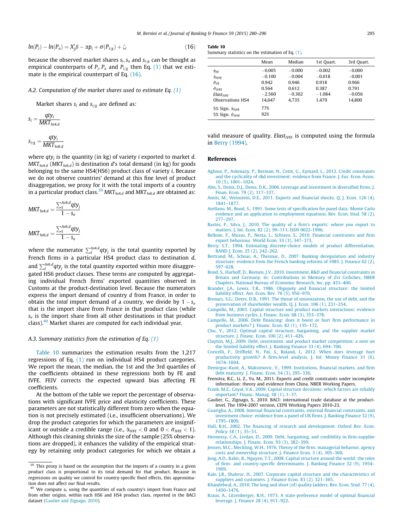$$
ln(P_i) - ln(P_o) = X'_j \beta - \alpha p_i + \sigma(P_{i/g}) + \zeta_i
$$
\n(16)

because the observed market shares  $s_i$ ,  $s_o$  and  $s_{i/g}$  can be thought as empirical counterparts of  $P_i, P_o$  and  $P_{i/g}$  then Eq. (1) that we estimate is the empirical counterpart of Eq. (16).

#### A.2. Computation of the market shares used to estimate Eq. (1)

Market shares  $s_i$  and  $s_{i/g}$  are defined as:

$$
s_i = \frac{qty_i}{MKT_{hs4,d}}
$$

$$
s_{i/g} = \frac{qty_i}{MKT_{hs6,d}}
$$

where  $qty_i$  is the quantity (in kg) of variety *i* exported to market *d*.  $MKT_{hs4,d}$  ( $MKT_{hs6,d}$ ) is destination d's total demand (in kg) for goods belonging to the same HS4(HS6) product class of variety i. Because we do not observe countries' demand at this fine level of product disaggregation, we proxy for it with the total imports of a country in a particular product class.<sup>39</sup> MKT<sub>hs4,d</sub> and MKT<sub>hs6,d</sub> are obtained as:

$$
MKT_{hs4,d} = \frac{\sum_{j}^{hs4,d} qty_j}{1 - s_o}
$$

$$
MKT_{hs6,d}=\frac{\sum_{j}^{hs6,d}qty_j}{1-s_o}
$$

where the numerator  $\sum_{j}^{hs4,d} q t y_j$  is the total quantity exported by French firms in a particular HS4 product class to destination d, and  $\sum_j^{h\mathfrak{so},d} q t y_j$  is the total quantity exported within more disaggregated HS6 product classes. These terms are computed by aggregating individual French firms' exported quantities observed in Customs at the product-destination level. Because the numerators express the import demand of country d from France, in order to obtain the *total* import demand of a country, we divide by  $1 - s<sub>o</sub>$ that is the import share from France in that product class (while  $s_0$  is the import share from all other destinations in that product class). $40$  Market shares are computed for each individual year.

## A.3. Summary statistics from the estimation of Eq. (1)

Table 10 summarizes the estimation results from the 1,217 regressions of Eq. (1) run on individual HS4 product categories. We report the mean, the median, the 1st and the 3rd quartiles of the coefficients obtained in these regressions both by FE and IVFE. FEIV corrects the expected upward bias affecting FE coefficients.

At the bottom of the table we report the percentage of observations with significant IVFE price and elasticity coefficients. These parameters are not statistically different from zero when the equation is not precisely estimated (i.e., insufficient observations). We drop the product categories for which the parameters are insignificant or outside a credible range (i.e.,  $\hat{\alpha}_{\text{IVFE}} < 0$  and  $0 < \hat{\sigma}_{\text{IVFE}} < 1$ ). Although this cleaning shrinks the size of the sample (25% observations are dropped), it enhances the validity of the empirical strategy by retaining only product categories for which we obtain a

#### Table 10

Summary statistics on the estimation of Eq. (1).

|                                                                                                                                       | Mean                                               | Median                                             | 1st Quart.                                         | 3rd Quart.                                         |
|---------------------------------------------------------------------------------------------------------------------------------------|----------------------------------------------------|----------------------------------------------------|----------------------------------------------------|----------------------------------------------------|
| $\hat{\alpha}_{\text{FE}}$<br>$\hat{\alpha}_{IVFE}$<br>$\hat{\sigma}_{\texttt{FF}}$<br>$\hat{\sigma}_{\text{IVFE}}$<br>$Elast_{IVFF}$ | $-0.005$<br>$-0.100$<br>0.942<br>0.564<br>$-2.560$ | $-0.000$<br>$-0.004$<br>0.946<br>0.612<br>$-0.302$ | $-0.002$<br>$-0.018$<br>0.918<br>0.387<br>$-1.084$ | $-0.000$<br>$-0.001$<br>0.966<br>0.791<br>$-0.056$ |
| Observations HS4                                                                                                                      | 14.647                                             | 4.735                                              | 1.479                                              | 14.800                                             |
| 5% Sign. $\hat{\alpha}_{IVFF}$<br>5% Sign. $\hat{\sigma}_{IVFF}$                                                                      | 77%<br>92%                                         |                                                    |                                                    |                                                    |

valid measure of quality. Elast<sub>IVFF</sub> is computed using the formula in Berry (1994).

### References

- [Aghion, P., Askenazy, P., Berman, N., Cette, G., Eymard, L., 2012. Credit constraints](http://refhub.elsevier.com/S0378-4266(15)00181-8/h0005) [and the cyclicality of r&d investment: evidence from France. J. Eur. Econ. Assoc.](http://refhub.elsevier.com/S0378-4266(15)00181-8/h0005) [10 \(5\), 1001–1024.](http://refhub.elsevier.com/S0378-4266(15)00181-8/h0005)
- [Ahn, S., Denis, D.J., Denis, D.K., 2006. Leverage and investment in diversified firms. J.](http://refhub.elsevier.com/S0378-4266(15)00181-8/h0010) [Finan. Econ. 79 \(2\), 317–337.](http://refhub.elsevier.com/S0378-4266(15)00181-8/h0010)
- [Amiti, M., Weinstein, D.E., 2011. Exports and financial shocks. Q. J. Econ. 126 \(4\),](http://refhub.elsevier.com/S0378-4266(15)00181-8/h0015) [1841–1877.](http://refhub.elsevier.com/S0378-4266(15)00181-8/h0015)
- [Arellano, M., Bond, S., 1991. Some tests of specification for panel data: Monte Carlo](http://refhub.elsevier.com/S0378-4266(15)00181-8/h0020) [evidence and an application to employment equations. Rev. Econ. Stud. 58 \(2\),](http://refhub.elsevier.com/S0378-4266(15)00181-8/h0020) [277–297](http://refhub.elsevier.com/S0378-4266(15)00181-8/h0020).
- [Bastos, P., Silva, J., 2010. The quality of a firm's exports: where you export to](http://refhub.elsevier.com/S0378-4266(15)00181-8/h0025) [matters. J. Int. Econ. 82 \(2\), 99–111, ISSN 0022-1996](http://refhub.elsevier.com/S0378-4266(15)00181-8/h0025).
- [Bellone, F., Musso, P., Nesta, L., Schiavo, S., 2010. Financial constraints and firm](http://refhub.elsevier.com/S0378-4266(15)00181-8/h0030) [export behaviour. World Econ. 33 \(3\), 347–373](http://refhub.elsevier.com/S0378-4266(15)00181-8/h0030).
- [Berry, S.T., 1994. Estimating discrete-choice models of product differentiation.](http://refhub.elsevier.com/S0378-4266(15)00181-8/h0035)
- [RAND J. Econ. 25 \(2\), 242–262](http://refhub.elsevier.com/S0378-4266(15)00181-8/h0035). [Bertrand, M., Schoar, A., Thesmar, D., 2007. Banking deregulation and industry](http://refhub.elsevier.com/S0378-4266(15)00181-8/h0040) [structure: evidence from the French banking reforms of 1985. J. Finance 62 \(2\),](http://refhub.elsevier.com/S0378-4266(15)00181-8/h0040) [597–628](http://refhub.elsevier.com/S0378-4266(15)00181-8/h0040).
- [Bond, S., Harhoff, D., Reenen, J.V., 2010. Investment, R&D and financial constraints in](http://refhub.elsevier.com/S0378-4266(15)00181-8/h0045) [Britain and Germany. In: Contributions in Memory of Zvi Griliches, NBER](http://refhub.elsevier.com/S0378-4266(15)00181-8/h0045) [Chapters. National Bureau of Economic Research, Inc, pp. 433–460.](http://refhub.elsevier.com/S0378-4266(15)00181-8/h0045)
- [Brander, J.A., Lewis, T.R., 1986. Oligopoly and financial structure: the limited](http://refhub.elsevier.com/S0378-4266(15)00181-8/h0050) [liability effect. Am. Econ. Rev. 76 \(5\), 956–970.](http://refhub.elsevier.com/S0378-4266(15)00181-8/h0050)
- [Bronars, S.G., Deere, D.R., 1991. The threat of unionization, the use of debt, and the](http://refhub.elsevier.com/S0378-4266(15)00181-8/h0055) [preservation of shareholder wealth. Q. J. Econ. 106 \(1\), 231–254.](http://refhub.elsevier.com/S0378-4266(15)00181-8/h0055)
- [Campello, M., 2003. Capital structure and product markets interactions: evidence](http://refhub.elsevier.com/S0378-4266(15)00181-8/h0060) [from business cycles. J. Financ. Econ. 68 \(3\), 353–378](http://refhub.elsevier.com/S0378-4266(15)00181-8/h0060).
- [Campello, M., 2006. Debt financing: does it boost or hurt firm performance in](http://refhub.elsevier.com/S0378-4266(15)00181-8/h0065) [product markets? J. Financ. Econ. 82 \(1\), 135–172.](http://refhub.elsevier.com/S0378-4266(15)00181-8/h0065)
- [Chu, Y., 2012. Optimal capital structure, bargaining, and the supplier market](http://refhub.elsevier.com/S0378-4266(15)00181-8/h0070) [structure. J. Financ. Econ. 106 \(2\), 411–426.](http://refhub.elsevier.com/S0378-4266(15)00181-8/h0070)
- [Clayton, M.J., 2009. Debt, investment, and product market competition: a note on](http://refhub.elsevier.com/S0378-4266(15)00181-8/h0075) [the limited liability effect. J. Banking Finance 33 \(4\), 694–700](http://refhub.elsevier.com/S0378-4266(15)00181-8/h0075).
- [Coricelli, F., Driffield, N., Pal, S., Roland, I., 2012. When does leverage hurt](http://refhub.elsevier.com/S0378-4266(15)00181-8/h0080) [productivity growth? A firm-level analysis. J. Int. Money Finance 31 \(6\),](http://refhub.elsevier.com/S0378-4266(15)00181-8/h0080) [1674–1694.](http://refhub.elsevier.com/S0378-4266(15)00181-8/h0080)
- [Demirguc-Kunt, A., Maksimovic, V., 1999. Institutions, financial markets, and firm](http://refhub.elsevier.com/S0378-4266(15)00181-8/h0085) [debt maturity. J. Financ. Econ. 54 \(3\), 295–336.](http://refhub.elsevier.com/S0378-4266(15)00181-8/h0085)
- Feenstra, R.C., Li, Z., Yu, M., 2011. Exports and credit constraints under incomplete information: theory and evidence from China. NBER Working Papers.
- [Frank, M.Z., Goyal, V.K., 2009. Capital structure decisions: which factors are reliably](http://refhub.elsevier.com/S0378-4266(15)00181-8/h0095) [important? Financ. Manag. 38 \(1\), 1–37.](http://refhub.elsevier.com/S0378-4266(15)00181-8/h0095)
- Gaulier, G., Zignago, S., 2010. BACI: international trade database at the productlevel. The 1994-2007 version, CEPII Working Papers 2010-23.
- [Guariglia, A., 2008. Internal financial constraints, external financial constraints, and](http://refhub.elsevier.com/S0378-4266(15)00181-8/h0105) [investment choice: evidence from a panel of UK firms. J. Banking Finance 32 \(9\),](http://refhub.elsevier.com/S0378-4266(15)00181-8/h0105) [1795–1809.](http://refhub.elsevier.com/S0378-4266(15)00181-8/h0105)
- [Hall, B.H., 2002. The financing of research and development. Oxford Rev. Econ.](http://refhub.elsevier.com/S0378-4266(15)00181-8/h0110) [Policy 18 \(1\), 35–51.](http://refhub.elsevier.com/S0378-4266(15)00181-8/h0110)
- [Hennessy, C.A., Livdan, D., 2009. Debt, bargaining, and credibility in firm-supplier](http://refhub.elsevier.com/S0378-4266(15)00181-8/h0115) [relationships. J. Financ. Econ. 93 \(3\), 382–399.](http://refhub.elsevier.com/S0378-4266(15)00181-8/h0115)
- [Jensen, M.C., Meckling, W.H., 1976. Theory of the firm: managerial behavior, agency](http://refhub.elsevier.com/S0378-4266(15)00181-8/h0120) [costs and ownership structure. J. Finance Econ. 3 \(4\), 305–360.](http://refhub.elsevier.com/S0378-4266(15)00181-8/h0120)
- [Jong, A.D., Kabir, R., Nguyen, T.T., 2008. Capital structure around the world: the roles](http://refhub.elsevier.com/S0378-4266(15)00181-8/h0125) [of firm- and country-specific determinants. J. Banking Finance 32 \(9\), 1954–](http://refhub.elsevier.com/S0378-4266(15)00181-8/h0125) [1969.](http://refhub.elsevier.com/S0378-4266(15)00181-8/h0125)
- [Kale, J.R., Shahrur, H., 2007. Corporate capital structure and the characteristics of](http://refhub.elsevier.com/S0378-4266(15)00181-8/h0130) [suppliers and customers. J. Finance Econ. 83 \(2\), 321–365](http://refhub.elsevier.com/S0378-4266(15)00181-8/h0130).
- [Khandelwal, A., 2010. The long and short \(of\) quality ladders. Rev. Econ. Stud. 77 \(4\),](http://refhub.elsevier.com/S0378-4266(15)00181-8/h0135) [1450–1476.](http://refhub.elsevier.com/S0378-4266(15)00181-8/h0135)
- [Kraus, A., Litzenberger, R.H., 1973. A state-preference model of optimal financial](http://refhub.elsevier.com/S0378-4266(15)00181-8/h0140) [leverage. J. Finance 28 \(4\), 911–922](http://refhub.elsevier.com/S0378-4266(15)00181-8/h0140).

 $39$  This proxy is based on the assumption that the imports of a country in a given product class is proportional to its total demand for that product. Because in regressions on quality we control for country-specific fixed effects, this approximation does not affect our final results.

We compute  $s_0$  using the quantities of each country's import from France and from other origins, within each HS6 and HS4 product class, reported in the BACI dataset (Gaulier and Zignago, 2010).